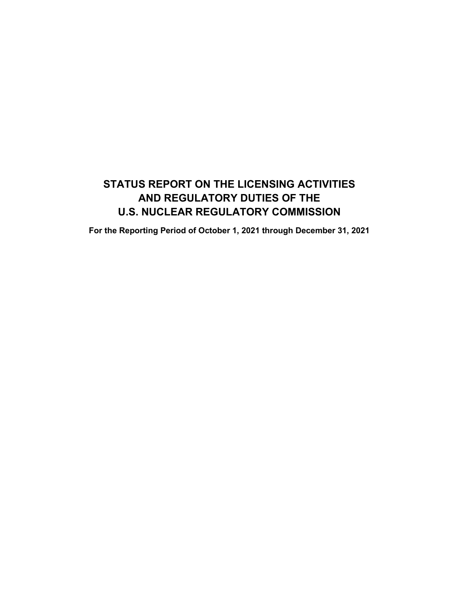# **STATUS REPORT ON THE LICENSING ACTIVITIES AND REGULATORY DUTIES OF THE U.S. NUCLEAR REGULATORY COMMISSION**

**For the Reporting Period of October 1, 2021 through December 31, 2021**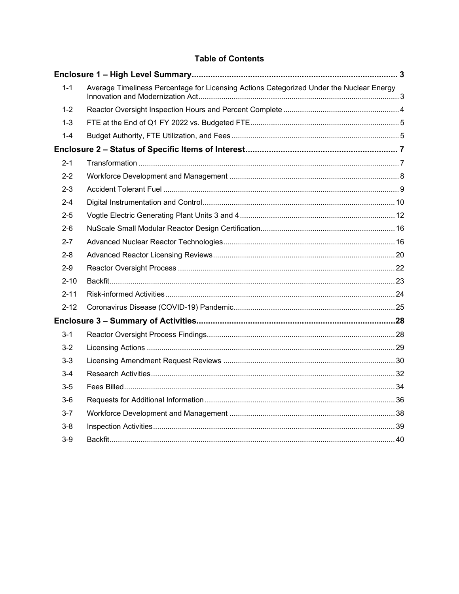# **Table of Contents**

| $1 - 1$  | Average Timeliness Percentage for Licensing Actions Categorized Under the Nuclear Energy |  |
|----------|------------------------------------------------------------------------------------------|--|
| $1 - 2$  |                                                                                          |  |
| $1 - 3$  |                                                                                          |  |
| $1 - 4$  |                                                                                          |  |
|          |                                                                                          |  |
| $2 - 1$  |                                                                                          |  |
| $2 - 2$  |                                                                                          |  |
| $2 - 3$  |                                                                                          |  |
| $2 - 4$  |                                                                                          |  |
| $2 - 5$  |                                                                                          |  |
| $2 - 6$  |                                                                                          |  |
| $2 - 7$  |                                                                                          |  |
| $2 - 8$  |                                                                                          |  |
| $2 - 9$  |                                                                                          |  |
| $2 - 10$ |                                                                                          |  |
| $2 - 11$ |                                                                                          |  |
| $2 - 12$ |                                                                                          |  |
|          |                                                                                          |  |
| $3 - 1$  |                                                                                          |  |
| $3-2$    |                                                                                          |  |
| $3-3$    |                                                                                          |  |
| $3-4$    |                                                                                          |  |
| $3-5$    |                                                                                          |  |
| $3-6$    |                                                                                          |  |
| $3 - 7$  |                                                                                          |  |
| 3-8      |                                                                                          |  |
| $3-9$    |                                                                                          |  |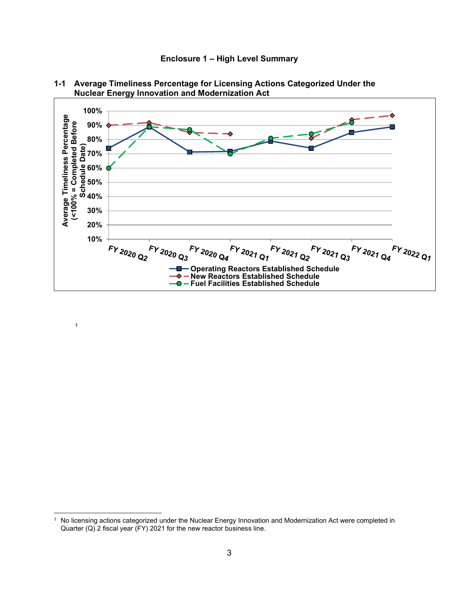**Enclosure 1 – High Level Summary**



<span id="page-2-1"></span><span id="page-2-0"></span>

1

<sup>1</sup> No licensing actions categorized under the Nuclear Energy Innovation and Modernization Act were completed in Quarter (Q) 2 fiscal year (FY) 2021 for the new reactor business line.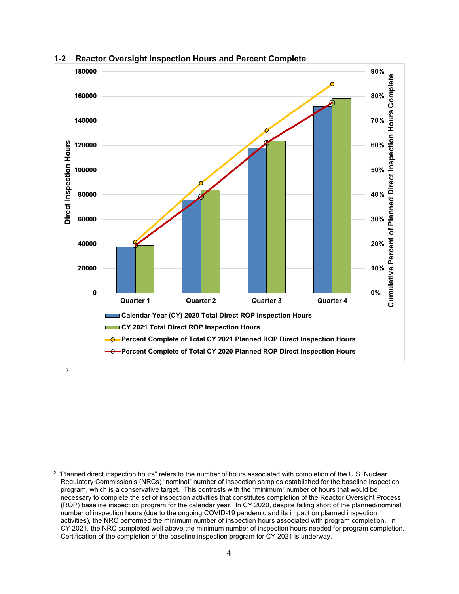

#### <span id="page-3-0"></span>**1-2 Reactor Oversight Inspection Hours and Percent Complete**

2

<sup>&</sup>lt;sup>2</sup> "Planned direct inspection hours" refers to the number of hours associated with completion of the U.S. Nuclear Regulatory Commission's (NRCs) "nominal" number of inspection samples established for the baseline inspection program, which is a conservative target. This contrasts with the "minimum" number of hours that would be necessary to complete the set of inspection activities that constitutes completion of the Reactor Oversight Process (ROP) baseline inspection program for the calendar year. In CY 2020, despite falling short of the planned/nominal number of inspection hours (due to the ongoing COVID-19 pandemic and its impact on planned inspection activities), the NRC performed the minimum number of inspection hours associated with program completion. In CY 2021, the NRC completed well above the minimum number of inspection hours needed for program completion. Certification of the completion of the baseline inspection program for CY 2021 is underway.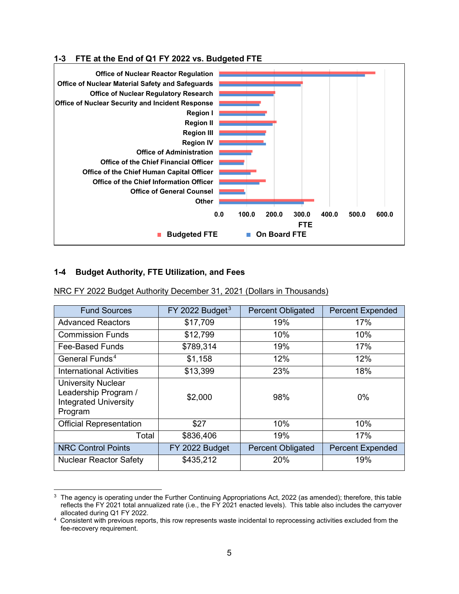### <span id="page-4-0"></span>**1-3 FTE at the End of Q1 FY 2022 vs. Budgeted FTE**



# <span id="page-4-1"></span>**1-4 Budget Authority, FTE Utilization, and Fees**

| NRC FY 2022 Budget Authority December 31, 2021 (Dollars in Thousands) |
|-----------------------------------------------------------------------|
|-----------------------------------------------------------------------|

| <b>Fund Sources</b>                                                                          | $FY$ 2022 Budget <sup>3</sup> | <b>Percent Obligated</b> | <b>Percent Expended</b> |
|----------------------------------------------------------------------------------------------|-------------------------------|--------------------------|-------------------------|
| <b>Advanced Reactors</b>                                                                     | \$17,709                      | 19%                      | 17%                     |
| <b>Commission Funds</b>                                                                      | \$12,799                      | 10%                      | 10%                     |
| Fee-Based Funds                                                                              | \$789,314                     | 19%                      | 17%                     |
| General Funds. <sup>4</sup>                                                                  | \$1,158                       | 12%                      | 12%                     |
| <b>International Activities</b>                                                              | \$13,399                      | 23%                      | 18%                     |
| <b>University Nuclear</b><br>Leadership Program /<br><b>Integrated University</b><br>Program | \$2,000                       | 98%                      | 0%                      |
| <b>Official Representation</b>                                                               | \$27                          | 10%                      | 10%                     |
| Total                                                                                        | \$836,406                     | 19%                      | 17%                     |
| <b>NRC Control Points</b>                                                                    | FY 2022 Budget                | <b>Percent Obligated</b> | <b>Percent Expended</b> |
| <b>Nuclear Reactor Safety</b>                                                                | \$435,212                     | 20%                      | 19%                     |

 $3$  The agency is operating under the Further Continuing Appropriations Act, 2022 (as amended); therefore, this table reflects the FY 2021 total annualized rate (i.e., the FY 2021 enacted levels). This table also includes the carryover allocated during Q1 FY 2022.

<sup>&</sup>lt;sup>4</sup> Consistent with previous reports, this row represents waste incidental to reprocessing activities excluded from the fee-recovery requirement.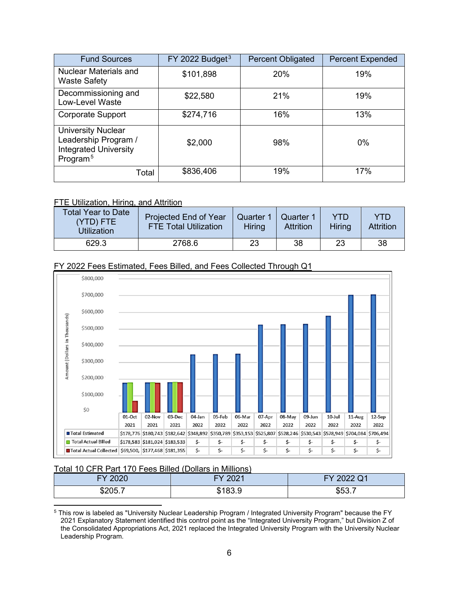| <b>Fund Sources</b>                                                                                        | FY 2022 Budget <sup>3</sup> | <b>Percent Obligated</b> | <b>Percent Expended</b> |
|------------------------------------------------------------------------------------------------------------|-----------------------------|--------------------------|-------------------------|
| <b>Nuclear Materials and</b><br><b>Waste Safety</b>                                                        | \$101,898                   | 20%                      | 19%                     |
| Decommissioning and<br><b>Low-Level Waste</b>                                                              | \$22,580                    | 21%                      | 19%                     |
| <b>Corporate Support</b>                                                                                   | \$274,716                   | 16%                      | 13%                     |
| <b>University Nuclear</b><br>Leadership Program /<br><b>Integrated University</b><br>Program. <sup>5</sup> | \$2,000                     | 98%                      | 0%                      |
| Total                                                                                                      | \$836,406                   | 19%                      | 17%                     |

### FTE Utilization, Hiring, and Attrition

| Total Year to Date<br>(YTD) FTE<br>Utilization | Projected End of Year<br><b>FTE Total Utilization</b> | Quarter<br>Hiring | Quarter 1<br><b>Attrition</b> | YTD<br><b>Hiring</b> | YTD<br><b>Attrition</b> |
|------------------------------------------------|-------------------------------------------------------|-------------------|-------------------------------|----------------------|-------------------------|
| 629.3                                          | 2768.6                                                | 23                | 38                            | 23                   | 38                      |

#### FY 2022 Fees Estimated, Fees Billed, and Fees Collected Through Q1



#### Total 10 CFR Part 170 Fees Billed (Dollars in Millions)

| 0000         | 0004           | 000001                   |
|--------------|----------------|--------------------------|
| $\mathbf{v}$ | $-$            | $\overline{\phantom{a}}$ |
| ◡←◡          | ---            | ZUZZ QT                  |
| ጦ<br>ა∠∪ວ…   | m<br>- -<br>۰D | -<br>$\sim$<br>\$53.7    |

<sup>5</sup> This row is labeled as "University Nuclear Leadership Program / Integrated University Program" because the FY 2021 Explanatory Statement identified this control point as the "Integrated University Program," but Division Z of the Consolidated Appropriations Act, 2021 replaced the Integrated University Program with the University Nuclear Leadership Program.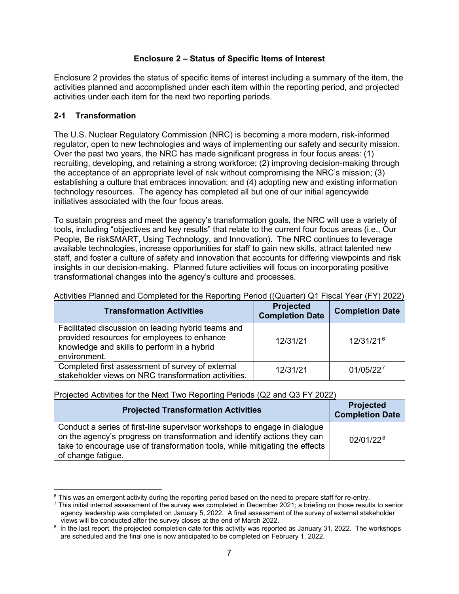### **Enclosure 2 – Status of Specific Items of Interest**

<span id="page-6-0"></span>Enclosure 2 provides the status of specific items of interest including a summary of the item, the activities planned and accomplished under each item within the reporting period, and projected activities under each item for the next two reporting periods.

# <span id="page-6-1"></span>**2-1 Transformation**

The U.S. Nuclear Regulatory Commission (NRC) is becoming a more modern, risk-informed regulator, open to new technologies and ways of implementing our safety and security mission. Over the past two years, the NRC has made significant progress in four focus areas: (1) recruiting, developing, and retaining a strong workforce; (2) improving decision-making through the acceptance of an appropriate level of risk without compromising the NRC's mission; (3) establishing a culture that embraces innovation; and (4) adopting new and existing information technology resources. The agency has completed all but one of our initial agencywide initiatives associated with the four focus areas.

To sustain progress and meet the agency's transformation goals, the NRC will use a variety of tools, including "objectives and key results" that relate to the current four focus areas (i.e., Our People, Be riskSMART, Using Technology, and Innovation). The NRC continues to leverage available technologies, increase opportunities for staff to gain new skills, attract talented new staff, and foster a culture of safety and innovation that accounts for differing viewpoints and risk insights in our decision-making. Planned future activities will focus on incorporating positive transformational changes into the agency's culture and processes.

| <b>Transformation Activities</b>                                                                                                                                 | <b>Projected</b><br><b>Completion Date</b> | <b>Completion Date</b> |
|------------------------------------------------------------------------------------------------------------------------------------------------------------------|--------------------------------------------|------------------------|
| Facilitated discussion on leading hybrid teams and<br>provided resources for employees to enhance<br>knowledge and skills to perform in a hybrid<br>environment. | 12/31/21                                   | $12/31/21^{6}$         |
| Completed first assessment of survey of external<br>stakeholder views on NRC transformation activities.                                                          | 12/31/21                                   | 01/05/227              |

### Activities Planned and Completed for the Reporting Period ((Quarter) Q1 Fiscal Year (FY) 2022)

Projected Activities for the Next Two Reporting Periods (Q2 and Q3 FY 2022)

| <b>Projected Transformation Activities</b>                                                                                                                                                                                                                 | <b>Projected</b><br><b>Completion Date</b> |
|------------------------------------------------------------------------------------------------------------------------------------------------------------------------------------------------------------------------------------------------------------|--------------------------------------------|
| Conduct a series of first-line supervisor workshops to engage in dialogue<br>on the agency's progress on transformation and identify actions they can<br>take to encourage use of transformation tools, while mitigating the effects<br>of change fatigue. | 02/01/22 <sup>8</sup>                      |

<sup>&</sup>lt;sup>6</sup> This was an emergent activity during the reporting period based on the need to prepare staff for re-entry.

 $7$  This initial internal assessment of the survey was completed in December 2021; a briefing on those results to senior agency leadership was completed on January 5, 2022. A final assessment of the survey of external stakeholder views will be conducted after the survey closes at the end of March 2022.

<sup>&</sup>lt;sup>8</sup> In the last report, the projected completion date for this activity was reported as January 31, 2022. The workshops are scheduled and the final one is now anticipated to be completed on February 1, 2022.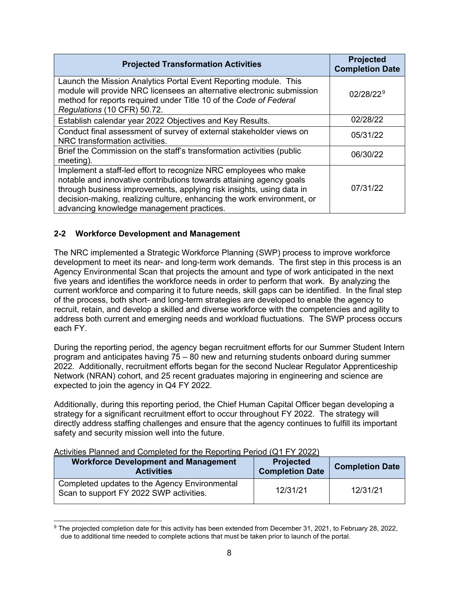| <b>Projected Transformation Activities</b>                                                                                                                                                                                                                                                                                             | <b>Projected</b><br><b>Completion Date</b> |
|----------------------------------------------------------------------------------------------------------------------------------------------------------------------------------------------------------------------------------------------------------------------------------------------------------------------------------------|--------------------------------------------|
| Launch the Mission Analytics Portal Event Reporting module. This<br>module will provide NRC licensees an alternative electronic submission<br>method for reports required under Title 10 of the Code of Federal<br>Regulations (10 CFR) 50.72.                                                                                         | 02/28/22 <sup>9</sup>                      |
| Establish calendar year 2022 Objectives and Key Results.                                                                                                                                                                                                                                                                               | 02/28/22                                   |
| Conduct final assessment of survey of external stakeholder views on<br>NRC transformation activities.                                                                                                                                                                                                                                  | 05/31/22                                   |
| Brief the Commission on the staff's transformation activities (public<br>meeting).                                                                                                                                                                                                                                                     | 06/30/22                                   |
| Implement a staff-led effort to recognize NRC employees who make<br>notable and innovative contributions towards attaining agency goals<br>through business improvements, applying risk insights, using data in<br>decision-making, realizing culture, enhancing the work environment, or<br>advancing knowledge management practices. | 07/31/22                                   |

# <span id="page-7-0"></span>**2-2 Workforce Development and Management**

The NRC implemented a Strategic Workforce Planning (SWP) process to improve workforce development to meet its near- and long-term work demands. The first step in this process is an Agency Environmental Scan that projects the amount and type of work anticipated in the next five years and identifies the workforce needs in order to perform that work. By analyzing the current workforce and comparing it to future needs, skill gaps can be identified. In the final step of the process, both short- and long-term strategies are developed to enable the agency to recruit, retain, and develop a skilled and diverse workforce with the competencies and agility to address both current and emerging needs and workload fluctuations. The SWP process occurs each FY.

During the reporting period, the agency began recruitment efforts for our Summer Student Intern program and anticipates having 75 – 80 new and returning students onboard during summer 2022. Additionally, recruitment efforts began for the second Nuclear Regulator Apprenticeship Network (NRAN) cohort, and 25 recent graduates majoring in engineering and science are expected to join the agency in Q4 FY 2022.

Additionally, during this reporting period, the Chief Human Capital Officer began developing a strategy for a significant recruitment effort to occur throughout FY 2022. The strategy will directly address staffing challenges and ensure that the agency continues to fulfill its important safety and security mission well into the future.

| Activities Flatified and Completed for the Reporting Ferrod (QTTTT 2022)                 |                                            |                        |
|------------------------------------------------------------------------------------------|--------------------------------------------|------------------------|
| <b>Workforce Development and Management</b><br><b>Activities</b>                         | <b>Projected</b><br><b>Completion Date</b> | <b>Completion Date</b> |
| Completed updates to the Agency Environmental<br>Scan to support FY 2022 SWP activities. | 12/31/21                                   | 12/31/21               |

#### Activities Planned and Completed for the Reporting Period (Q1 FY 2022)

<sup>9</sup> The projected completion date for this activity has been extended from December 31, 2021, to February 28, 2022, due to additional time needed to complete actions that must be taken prior to launch of the portal.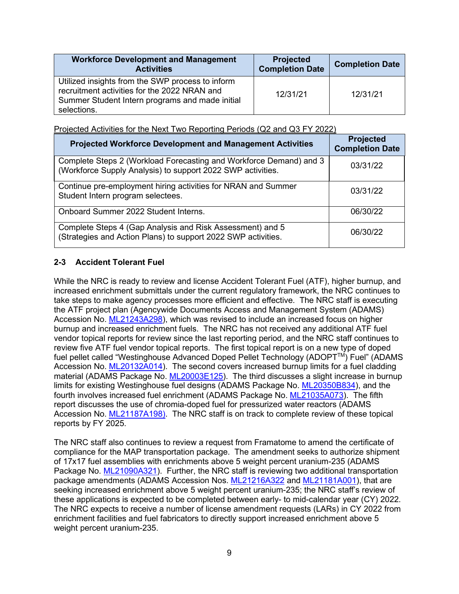| <b>Workforce Development and Management</b><br><b>Activities</b>                                                                                                   | <b>Projected</b><br><b>Completion Date</b> | <b>Completion Date</b> |
|--------------------------------------------------------------------------------------------------------------------------------------------------------------------|--------------------------------------------|------------------------|
| Utilized insights from the SWP process to inform<br>recruitment activities for the 2022 NRAN and<br>Summer Student Intern programs and made initial<br>selections. | 12/31/21                                   | 12/31/21               |

Projected Activities for the Next Two Reporting Periods (Q2 and Q3 FY 2022)

| <b>Projected Workforce Development and Management Activities</b>                                                                  | <b>Projected</b><br><b>Completion Date</b> |
|-----------------------------------------------------------------------------------------------------------------------------------|--------------------------------------------|
| Complete Steps 2 (Workload Forecasting and Workforce Demand) and 3<br>(Workforce Supply Analysis) to support 2022 SWP activities. | 03/31/22                                   |
| Continue pre-employment hiring activities for NRAN and Summer<br>Student Intern program selectees.                                | 03/31/22                                   |
| Onboard Summer 2022 Student Interns.                                                                                              | 06/30/22                                   |
| Complete Steps 4 (Gap Analysis and Risk Assessment) and 5<br>(Strategies and Action Plans) to support 2022 SWP activities.        | 06/30/22                                   |

# <span id="page-8-0"></span>**2-3 Accident Tolerant Fuel**

While the NRC is ready to review and license Accident Tolerant Fuel (ATF), higher burnup, and increased enrichment submittals under the current regulatory framework, the NRC continues to take steps to make agency processes more efficient and effective. The NRC staff is executing the ATF project plan (Agencywide Documents Access and Management System (ADAMS) Accession No. [ML21243A298\)](https://adamswebsearch2.nrc.gov/webSearch2/main.jsp?AccessionNumber=ML21243A298), which was revised to include an increased focus on higher burnup and increased enrichment fuels. The NRC has not received any additional ATF fuel vendor topical reports for review since the last reporting period, and the NRC staff continues to review five ATF fuel vendor topical reports. The first topical report is on a new type of doped fuel pellet called "Westinghouse Advanced Doped Pellet Technology (ADOPT<sup>TM</sup>) Fuel" (ADAMS Accession No. [ML20132A014\)](https://adamswebsearch2.nrc.gov/webSearch2/main.jsp?AccessionNumber=ML20132A014). The second covers increased burnup limits for a fuel cladding material (ADAMS Package No. [ML20003E125\)](https://adamswebsearch2.nrc.gov/webSearch2/main.jsp?AccessionNumber=ML20003E125). The third discusses a slight increase in burnup limits for existing Westinghouse fuel designs (ADAMS Package No. [ML20350B834\)](https://adamswebsearch2.nrc.gov/webSearch2/main.jsp?AccessionNumber=ML20350B834), and the fourth involves increased fuel enrichment (ADAMS Package No. [ML21035A073\)](https://adamswebsearch2.nrc.gov/webSearch2/main.jsp?AccessionNumber=ML21035A073). The fifth report discusses the use of chromia-doped fuel for pressurized water reactors (ADAMS Accession No. [ML21187A198\)](https://adamswebsearch2.nrc.gov/webSearch2/main.jsp?AccessionNumber=ML21187A198). The NRC staff is on track to complete review of these topical reports by FY 2025.

The NRC staff also continues to review a request from Framatome to amend the certificate of compliance for the MAP transportation package. The amendment seeks to authorize shipment of 17x17 fuel assemblies with enrichments above 5 weight percent uranium-235 (ADAMS Package No. [ML21090A321\)](https://adamswebsearch2.nrc.gov/webSearch2/main.jsp?AccessionNumber=ML21090A321). Further, the NRC staff is reviewing two additional transportation package amendments (ADAMS Accession Nos. [ML21216A322](https://adamswebsearch2.nrc.gov/webSearch2/main.jsp?AccessionNumber=ML21216A322) and [ML21181A001\)](https://adamswebsearch2.nrc.gov/webSearch2/main.jsp?AccessionNumber=ML21181A001), that are seeking increased enrichment above 5 weight percent uranium-235; the NRC staff's review of these applications is expected to be completed between early- to mid-calendar year (CY) 2022. The NRC expects to receive a number of license amendment requests (LARs) in CY 2022 from enrichment facilities and fuel fabricators to directly support increased enrichment above 5 weight percent uranium-235.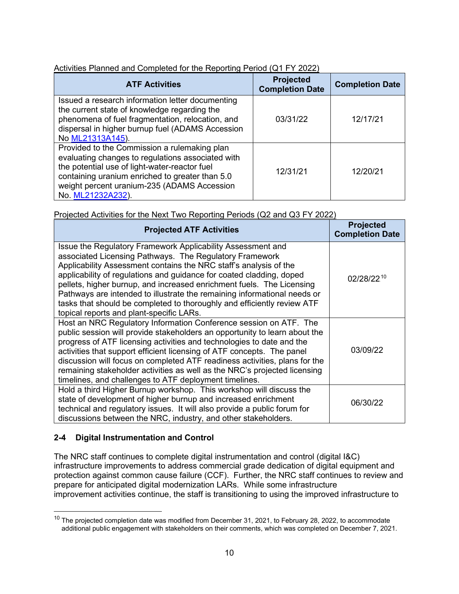| Activities Planned and Completed for the Reporting Period (Q1 FY 2022) |  |  |
|------------------------------------------------------------------------|--|--|
|                                                                        |  |  |

| <b>ATF Activities</b>                                                                                                                                                                                                                                                     | <b>Projected</b><br><b>Completion Date</b> | <b>Completion Date</b> |
|---------------------------------------------------------------------------------------------------------------------------------------------------------------------------------------------------------------------------------------------------------------------------|--------------------------------------------|------------------------|
| Issued a research information letter documenting<br>the current state of knowledge regarding the<br>phenomena of fuel fragmentation, relocation, and<br>dispersal in higher burnup fuel (ADAMS Accession<br>No ML21313A145).                                              | 03/31/22                                   | 12/17/21               |
| Provided to the Commission a rulemaking plan<br>evaluating changes to regulations associated with<br>the potential use of light-water-reactor fuel<br>containing uranium enriched to greater than 5.0<br>weight percent uranium-235 (ADAMS Accession<br>No. ML21232A232). | 12/31/21                                   | 12/20/21               |

Projected Activities for the Next Two Reporting Periods (Q2 and Q3 FY 2022)

| <b>Projected ATF Activities</b>                                                                                                                                                                                                                                                                                                                                                                                                                                                                                                                 | <b>Projected</b><br><b>Completion Date</b> |
|-------------------------------------------------------------------------------------------------------------------------------------------------------------------------------------------------------------------------------------------------------------------------------------------------------------------------------------------------------------------------------------------------------------------------------------------------------------------------------------------------------------------------------------------------|--------------------------------------------|
| Issue the Regulatory Framework Applicability Assessment and<br>associated Licensing Pathways. The Regulatory Framework<br>Applicability Assessment contains the NRC staff's analysis of the<br>applicability of regulations and guidance for coated cladding, doped<br>pellets, higher burnup, and increased enrichment fuels. The Licensing<br>Pathways are intended to illustrate the remaining informational needs or<br>tasks that should be completed to thoroughly and efficiently review ATF<br>topical reports and plant-specific LARs. | 02/28/2210                                 |
| Host an NRC Regulatory Information Conference session on ATF. The<br>public session will provide stakeholders an opportunity to learn about the<br>progress of ATF licensing activities and technologies to date and the<br>activities that support efficient licensing of ATF concepts. The panel<br>discussion will focus on completed ATF readiness activities, plans for the<br>remaining stakeholder activities as well as the NRC's projected licensing<br>timelines, and challenges to ATF deployment timelines.                         | 03/09/22                                   |
| Hold a third Higher Burnup workshop. This workshop will discuss the<br>state of development of higher burnup and increased enrichment<br>technical and regulatory issues. It will also provide a public forum for<br>discussions between the NRC, industry, and other stakeholders.                                                                                                                                                                                                                                                             | 06/30/22                                   |

# <span id="page-9-0"></span>**2-4 Digital Instrumentation and Control**

The NRC staff continues to complete digital instrumentation and control (digital I&C) infrastructure improvements to address commercial grade dedication of digital equipment and protection against common cause failure (CCF). Further, the NRC staff continues to review and prepare for anticipated digital modernization LARs. While some infrastructure improvement activities continue, the staff is transitioning to using the improved infrastructure to

<sup>&</sup>lt;sup>10</sup> The projected completion date was modified from December 31, 2021, to February 28, 2022, to accommodate additional public engagement with stakeholders on their comments, which was completed on December 7, 2021.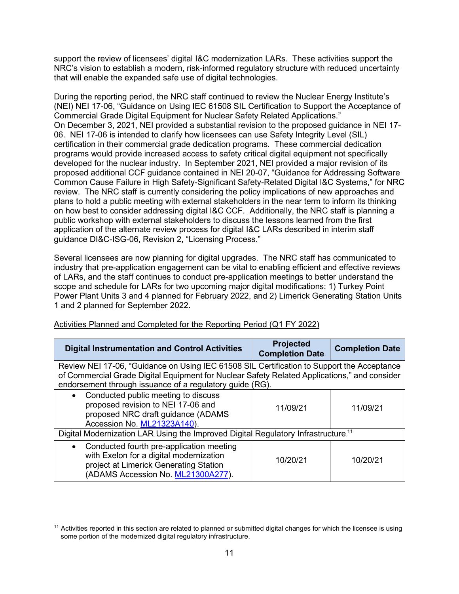support the review of licensees' digital I&C modernization LARs. These activities support the NRC's vision to establish a modern, risk-informed regulatory structure with reduced uncertainty that will enable the expanded safe use of digital technologies.

During the reporting period, the NRC staff continued to review the Nuclear Energy Institute's (NEI) NEI 17-06, "Guidance on Using IEC 61508 SIL Certification to Support the Acceptance of Commercial Grade Digital Equipment for Nuclear Safety Related Applications." On December 3, 2021, NEI provided a substantial revision to the proposed guidance in NEI 17- 06. NEI 17-06 is intended to clarify how licensees can use Safety Integrity Level (SIL) certification in their commercial grade dedication programs. These commercial dedication programs would provide increased access to safety critical digital equipment not specifically developed for the nuclear industry. In September 2021, NEI provided a major revision of its proposed additional CCF guidance contained in NEI 20-07, "Guidance for Addressing Software Common Cause Failure in High Safety-Significant Safety-Related Digital I&C Systems," for NRC review. The NRC staff is currently considering the policy implications of new approaches and plans to hold a public meeting with external stakeholders in the near term to inform its thinking on how best to consider addressing digital I&C CCF. Additionally, the NRC staff is planning a public workshop with external stakeholders to discuss the lessons learned from the first application of the alternate review process for digital I&C LARs described in interim staff guidance DI&C-ISG-06, Revision 2, "Licensing Process."

Several licensees are now planning for digital upgrades. The NRC staff has communicated to industry that pre-application engagement can be vital to enabling efficient and effective reviews of LARs, and the staff continues to conduct pre-application meetings to better understand the scope and schedule for LARs for two upcoming major digital modifications: 1) Turkey Point Power Plant Units 3 and 4 planned for February 2022, and 2) Limerick Generating Station Units 1 and 2 planned for September 2022.

| <b>Digital Instrumentation and Control Activities</b>                                                                                                                                                                                                  | <b>Projected</b><br><b>Completion Date</b> | <b>Completion Date</b> |
|--------------------------------------------------------------------------------------------------------------------------------------------------------------------------------------------------------------------------------------------------------|--------------------------------------------|------------------------|
| Review NEI 17-06, "Guidance on Using IEC 61508 SIL Certification to Support the Acceptance<br>of Commercial Grade Digital Equipment for Nuclear Safety Related Applications," and consider<br>endorsement through issuance of a regulatory guide (RG). |                                            |                        |
| Conducted public meeting to discuss<br>$\bullet$<br>proposed revision to NEI 17-06 and<br>proposed NRC draft guidance (ADAMS<br>Accession No. ML21323A140).                                                                                            | 11/09/21                                   | 11/09/21               |
| Digital Modernization LAR Using the Improved Digital Regulatory Infrastructure. <sup>11</sup>                                                                                                                                                          |                                            |                        |
| Conducted fourth pre-application meeting<br>$\bullet$<br>with Exelon for a digital modernization<br>project at Limerick Generating Station<br>(ADAMS Accession No. ML21300A277).                                                                       | 10/20/21                                   | 10/20/21               |

Activities Planned and Completed for the Reporting Period (Q1 FY 2022)

 $11$  Activities reported in this section are related to planned or submitted digital changes for which the licensee is using some portion of the modernized digital regulatory infrastructure.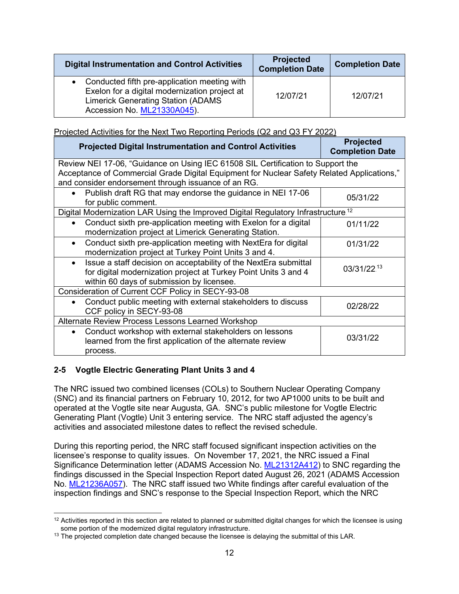| <b>Digital Instrumentation and Control Activities</b>                                                                                                                                   | <b>Projected</b><br><b>Completion Date</b> | <b>Completion Date</b> |
|-----------------------------------------------------------------------------------------------------------------------------------------------------------------------------------------|--------------------------------------------|------------------------|
| Conducted fifth pre-application meeting with<br>$\bullet$<br>Exelon for a digital modernization project at<br><b>Limerick Generating Station (ADAMS)</b><br>Accession No. ML21330A045). | 12/07/21                                   | 12/07/21               |

Projected Activities for the Next Two Reporting Periods (Q2 and Q3 FY 2022)

| <b>Projected Digital Instrumentation and Control Activities</b>                                                                                                                                                                      | <b>Projected</b><br><b>Completion Date</b> |  |  |
|--------------------------------------------------------------------------------------------------------------------------------------------------------------------------------------------------------------------------------------|--------------------------------------------|--|--|
| Review NEI 17-06, "Guidance on Using IEC 61508 SIL Certification to Support the<br>Acceptance of Commercial Grade Digital Equipment for Nuclear Safety Related Applications,"<br>and consider endorsement through issuance of an RG. |                                            |  |  |
| Publish draft RG that may endorse the guidance in NEI 17-06<br>for public comment.                                                                                                                                                   | 05/31/22                                   |  |  |
| Digital Modernization LAR Using the Improved Digital Regulatory Infrastructure. <sup>12</sup>                                                                                                                                        |                                            |  |  |
| Conduct sixth pre-application meeting with Exelon for a digital<br>$\bullet$<br>modernization project at Limerick Generating Station.                                                                                                | 01/11/22                                   |  |  |
| Conduct sixth pre-application meeting with NextEra for digital<br>modernization project at Turkey Point Units 3 and 4.                                                                                                               | 01/31/22                                   |  |  |
| Issue a staff decision on acceptability of the NextEra submittal<br>for digital modernization project at Turkey Point Units 3 and 4<br>within 60 days of submission by licensee.                                                     | 03/31/22.13                                |  |  |
| Consideration of Current CCF Policy in SECY-93-08                                                                                                                                                                                    |                                            |  |  |
| Conduct public meeting with external stakeholders to discuss<br>CCF policy in SECY-93-08                                                                                                                                             | 02/28/22                                   |  |  |
| Alternate Review Process Lessons Learned Workshop                                                                                                                                                                                    |                                            |  |  |
| Conduct workshop with external stakeholders on lessons<br>$\bullet$<br>learned from the first application of the alternate review<br>process.                                                                                        | 03/31/22                                   |  |  |

# <span id="page-11-0"></span>**2-5 Vogtle Electric Generating Plant Units 3 and 4**

The NRC issued two combined licenses (COLs) to Southern Nuclear Operating Company (SNC) and its financial partners on February 10, 2012, for two AP1000 units to be built and operated at the Vogtle site near Augusta, GA. SNC's public milestone for Vogtle Electric Generating Plant (Vogtle) Unit 3 entering service. The NRC staff adjusted the agency's activities and associated milestone dates to reflect the revised schedule.

During this reporting period, the NRC staff focused significant inspection activities on the licensee's response to quality issues. On November 17, 2021, the NRC issued a Final Significance Determination letter (ADAMS Accession No. [ML21312A412\)](https://adamswebsearch2.nrc.gov/webSearch2/main.jsp?AccessionNumber=ML21312A412) to SNC regarding the findings discussed in the Special Inspection Report dated August 26, 2021 (ADAMS Accession No. [ML21236A057\)](https://adamswebsearch2.nrc.gov/webSearch2/main.jsp?AccessionNumber=ML21236A057). The NRC staff issued two White findings after careful evaluation of the inspection findings and SNC's response to the Special Inspection Report, which the NRC

 $12$  Activities reported in this section are related to planned or submitted digital changes for which the licensee is using some portion of the modernized digital regulatory infrastructure.

 $13$  The projected completion date changed because the licensee is delaying the submittal of this LAR.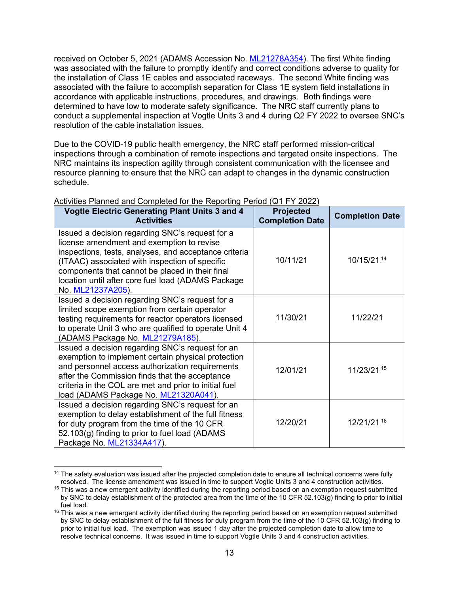received on October 5, 2021 (ADAMS Accession No. [ML21278A354\)](https://adamswebsearch2.nrc.gov/webSearch2/main.jsp?AccessionNumber=ML21278A354). The first White finding was associated with the failure to promptly identify and correct conditions adverse to quality for the installation of Class 1E cables and associated raceways. The second White finding was associated with the failure to accomplish separation for Class 1E system field installations in accordance with applicable instructions, procedures, and drawings. Both findings were determined to have low to moderate safety significance. The NRC staff currently plans to conduct a supplemental inspection at Vogtle Units 3 and 4 during Q2 FY 2022 to oversee SNC's resolution of the cable installation issues.

Due to the COVID-19 public health emergency, the NRC staff performed mission-critical inspections through a combination of remote inspections and targeted onsite inspections. The NRC maintains its inspection agility through consistent communication with the licensee and resource planning to ensure that the NRC can adapt to changes in the dynamic construction schedule.

| <b>Vogtle Electric Generating Plant Units 3 and 4</b><br><b>Activities</b>                                                                                                                                                                                                                                                            | <b>Projected</b><br><b>Completion Date</b> | <b>Completion Date</b> |
|---------------------------------------------------------------------------------------------------------------------------------------------------------------------------------------------------------------------------------------------------------------------------------------------------------------------------------------|--------------------------------------------|------------------------|
| Issued a decision regarding SNC's request for a<br>license amendment and exemption to revise<br>inspections, tests, analyses, and acceptance criteria<br>(ITAAC) associated with inspection of specific<br>components that cannot be placed in their final<br>location until after core fuel load (ADAMS Package<br>No. ML21237A205). | 10/11/21                                   | 10/15/21.14            |
| Issued a decision regarding SNC's request for a<br>limited scope exemption from certain operator<br>testing requirements for reactor operators licensed<br>to operate Unit 3 who are qualified to operate Unit 4<br>(ADAMS Package No. ML21279A185).                                                                                  | 11/30/21                                   | 11/22/21               |
| Issued a decision regarding SNC's request for an<br>exemption to implement certain physical protection<br>and personnel access authorization requirements<br>after the Commission finds that the acceptance<br>criteria in the COL are met and prior to initial fuel<br>load (ADAMS Package No. ML21320A041).                         | 12/01/21                                   | 11/23/21.15            |
| Issued a decision regarding SNC's request for an<br>exemption to delay establishment of the full fitness<br>for duty program from the time of the 10 CFR<br>52.103(g) finding to prior to fuel load (ADAMS<br>Package No. ML21334A417).                                                                                               | 12/20/21                                   | 12/21/21.16            |

### Activities Planned and Completed for the Reporting Period (Q1 FY 2022)

<sup>&</sup>lt;sup>14</sup> The safety evaluation was issued after the projected completion date to ensure all technical concerns were fully resolved. The license amendment was issued in time to support Vogtle Units 3 and 4 construction activities.

<sup>&</sup>lt;sup>15</sup> This was a new emergent activity identified during the reporting period based on an exemption request submitted by SNC to delay establishment of the protected area from the time of the 10 CFR 52.103(g) finding to prior to initial fuel load.

 $16$  This was a new emergent activity identified during the reporting period based on an exemption request submitted by SNC to delay establishment of the full fitness for duty program from the time of the 10 CFR 52.103(g) finding to prior to initial fuel load. The exemption was issued 1 day after the projected completion date to allow time to resolve technical concerns. It was issued in time to support Vogtle Units 3 and 4 construction activities.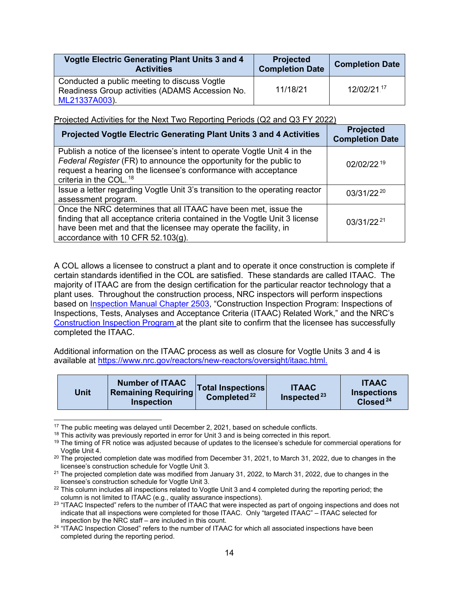| Vogtle Electric Generating Plant Units 3 and 4<br><b>Activities</b>                             | <b>Projected</b><br><b>Completion Date</b> | <b>Completion Date</b> |
|-------------------------------------------------------------------------------------------------|--------------------------------------------|------------------------|
| Conducted a public meeting to discuss Vogtle<br>Readiness Group activities (ADAMS Accession No. | 11/18/21                                   | 12/02/21.17            |
| ML21337A003).                                                                                   |                                            |                        |

Projected Activities for the Next Two Reporting Periods (Q2 and Q3 FY 2022)

| Projected Vogtle Electric Generating Plant Units 3 and 4 Activities                                                                                                                                                                                        | <b>Projected</b><br><b>Completion Date</b> |
|------------------------------------------------------------------------------------------------------------------------------------------------------------------------------------------------------------------------------------------------------------|--------------------------------------------|
| Publish a notice of the licensee's intent to operate Vogtle Unit 4 in the<br>Federal Register (FR) to announce the opportunity for the public to<br>request a hearing on the licensee's conformance with acceptance<br>criteria in the COL. <sup>18</sup>  | 02/02/22.19                                |
| Issue a letter regarding Vogtle Unit 3's transition to the operating reactor<br>assessment program.                                                                                                                                                        | 03/31/22.20                                |
| Once the NRC determines that all ITAAC have been met, issue the<br>finding that all acceptance criteria contained in the Vogtle Unit 3 license<br>have been met and that the licensee may operate the facility, in<br>accordance with 10 CFR $52.103(g)$ . | 03/31/22 <sup>21</sup>                     |

A COL allows a licensee to construct a plant and to operate it once construction is complete if certain standards identified in the COL are satisfied. These standards are called ITAAC. The majority of ITAAC are from the design certification for the particular reactor technology that a plant uses. Throughout the construction process, NRC inspectors will perform inspections based on [Inspection Manual Chapter 2503,](https://www.nrc.gov/docs/ML1211/ML12110A239.pdf) "Construction Inspection Program: Inspections of Inspections, Tests, Analyses and Acceptance Criteria (ITAAC) Related Work," and the NRC's [Construction Inspection Program a](https://www.nrc.gov/reactors/new-reactors/oversight/cip.html)t the plant site to confirm that the licensee has successfully completed the ITAAC.

Additional information on the ITAAC process as well as closure for Vogtle Units 3 and 4 is available at [https://www.nrc.gov/reactors/new-reactors/oversight/itaac.html.](https://www.nrc.gov/reactors/new-reactors/oversight/itaac.html)

| <b>Unit</b> | <b>Number of ITAAC</b><br><b>Remaining Requiring</b><br><b>Inspection</b> | <b>Total Inspections</b><br>Completed. <sup>22</sup> | <b>ITAAC</b><br>Inspected. <sup>23</sup> | <b>ITAAC</b><br><b>Inspections</b><br>Closed <sup>24</sup> |
|-------------|---------------------------------------------------------------------------|------------------------------------------------------|------------------------------------------|------------------------------------------------------------|
|-------------|---------------------------------------------------------------------------|------------------------------------------------------|------------------------------------------|------------------------------------------------------------|

<sup>&</sup>lt;sup>17</sup> The public meeting was delayed until December 2, 2021, based on schedule conflicts.

<sup>&</sup>lt;sup>18</sup> This activity was previously reported in error for Unit 3 and is being corrected in this report.

<sup>&</sup>lt;sup>19</sup> The timing of FR notice was adjusted because of updates to the licensee's schedule for commercial operations for Vogtle Unit 4.

<sup>&</sup>lt;sup>20</sup> The projected completion date was modified from December 31, 2021, to March 31, 2022, due to changes in the licensee's construction schedule for Vogtle Unit 3.

<sup>&</sup>lt;sup>21</sup> The projected completion date was modified from January 31, 2022, to March 31, 2022, due to changes in the licensee's construction schedule for Vogtle Unit 3.

 $22$  This column includes all inspections related to Vogtle Unit 3 and 4 completed during the reporting period; the column is not limited to ITAAC (e.g., quality assurance inspections).

<sup>&</sup>lt;sup>23</sup> "ITAAC Inspected" refers to the number of ITAAC that were inspected as part of ongoing inspections and does not indicate that all inspections were completed for those ITAAC. Only "targeted ITAAC" – ITAAC selected for inspection by the NRC staff – are included in this count.

<sup>&</sup>lt;sup>24</sup> "ITAAC Inspection Closed" refers to the number of ITAAC for which all associated inspections have been completed during the reporting period.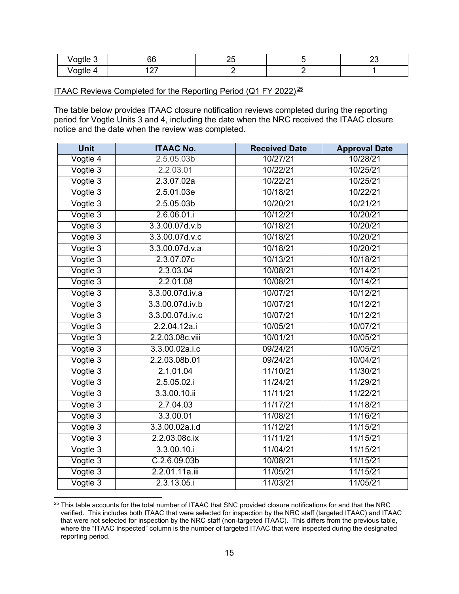| $\cdots$<br>-<br>'oatle<br>$\cdot$ $\cdot$ | JU<br>$ -$           | $\sim$ | $\overline{\phantom{0}}$ |
|--------------------------------------------|----------------------|--------|--------------------------|
| 'oatle<br>.                                | $\sim$ $-$<br>$\sim$ |        |                          |

### <u>ITAAC Reviews Completed for the Reporting Period (Q1 FY 2022). $^{25}$ </u>

The table below provides ITAAC closure notification reviews completed during the reporting period for Vogtle Units 3 and 4, including the date when the NRC received the ITAAC closure notice and the date when the review was completed.

| <b>Unit</b> | <b>ITAAC No.</b>       | <b>Received Date</b> | <b>Approval Date</b> |
|-------------|------------------------|----------------------|----------------------|
| Vogtle 4    | 2.5.05.03b             | 10/27/21             | 10/28/21             |
| Vogtle 3    | 2.2.03.01              | 10/22/21             | 10/25/21             |
| Vogtle 3    | 2.3.07.02a             | 10/22/21             | 10/25/21             |
| Vogtle 3    | 2.5.01.03e             | 10/18/21             | 10/22/21             |
| Vogtle 3    | 2.5.05.03 <sub>b</sub> | 10/20/21             | 10/21/21             |
| Vogtle 3    | 2.6.06.01.i            | 10/12/21             | 10/20/21             |
| Vogtle 3    | 3.3.00.07d.v.b         | 10/18/21             | 10/20/21             |
| Vogtle 3    | 3.3.00.07d.v.c         | 10/18/21             | 10/20/21             |
| Vogtle 3    | 3.3.00.07d.v.a         | 10/18/21             | 10/20/21             |
| Vogtle 3    | 2.3.07.07c             | 10/13/21             | 10/18/21             |
| Vogtle 3    | 2.3.03.04              | 10/08/21             | 10/14/21             |
| Vogtle 3    | 2.2.01.08              | 10/08/21             | 10/14/21             |
| Vogtle 3    | 3.3.00.07d.iv.a        | 10/07/21             | 10/12/21             |
| Vogtle 3    | 3.3.00.07d.iv.b        | 10/07/21             | 10/12/21             |
| Vogtle 3    | 3.3.00.07d.iv.c        | 10/07/21             | 10/12/21             |
| Vogtle 3    | 2.2.04.12a.i           | 10/05/21             | 10/07/21             |
| Vogtle 3    | 2.2.03.08c.viii        | 10/01/21             | 10/05/21             |
| Vogtle 3    | 3.3.00.02a.i.c         | 09/24/21             | 10/05/21             |
| Vogtle 3    | 2.2.03.08b.01          | 09/24/21             | 10/04/21             |
| Vogtle 3    | 2.1.01.04              | 11/10/21             | 11/30/21             |
| Vogtle 3    | 2.5.05.02.i            | 11/24/21             | 11/29/21             |
| Vogtle 3    | 3.3.00.10.ii           | 11/11/21             | 11/22/21             |
| Vogtle 3    | 2.7.04.03              | 11/17/21             | 11/18/21             |
| Vogtle 3    | 3.3.00.01              | 11/08/21             | 11/16/21             |
| Vogtle 3    | 3.3.00.02a.i.d         | 11/12/21             | 11/15/21             |
| Vogtle 3    | 2.2.03.08c.ix          | 11/11/21             | 11/15/21             |
| Vogtle 3    | 3.3.00.10.i            | 11/04/21             | 11/15/21             |
| Vogtle 3    | C.2.6.09.03b           | 10/08/21             | 11/15/21             |
| Vogtle 3    | 2.2.01.11a.iii         | 11/05/21             | 11/15/21             |
| Vogtle 3    | 2.3.13.05.i            | 11/03/21             | 11/05/21             |

<sup>&</sup>lt;sup>25</sup> This table accounts for the total number of ITAAC that SNC provided closure notifications for and that the NRC verified. This includes both ITAAC that were selected for inspection by the NRC staff (targeted ITAAC) and ITAAC that were not selected for inspection by the NRC staff (non-targeted ITAAC). This differs from the previous table, where the "ITAAC Inspected" column is the number of targeted ITAAC that were inspected during the designated reporting period.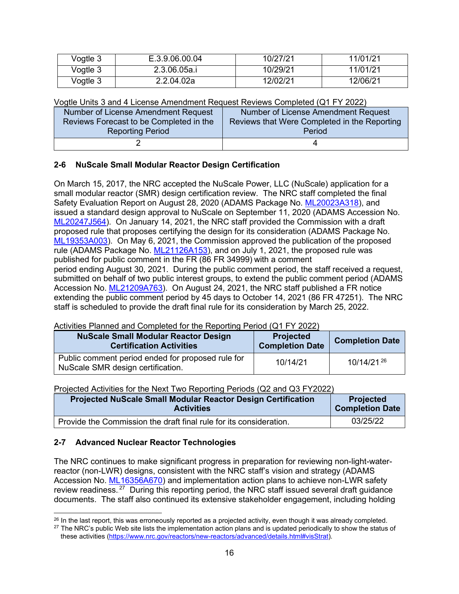| Vogtle 3 | E.3.9.06.00.04 | 10/27/21 | 11/01/21 |
|----------|----------------|----------|----------|
| Vogtle 3 | 2.3.06.05a.i   | 10/29/21 | 11/01/21 |
| Vogtle 3 | 2.2.04.02a     | 12/02/21 | 12/06/21 |

Vogtle Units 3 and 4 License Amendment Request Reviews Completed (Q1 FY 2022)

| Number of License Amendment Request     | Number of License Amendment Request          |
|-----------------------------------------|----------------------------------------------|
| Reviews Forecast to be Completed in the | Reviews that Were Completed in the Reporting |
| <b>Reporting Period</b>                 | Period                                       |
|                                         |                                              |

### <span id="page-15-0"></span>**2-6 NuScale Small Modular Reactor Design Certification**

On March 15, 2017, the NRC accepted the NuScale Power, LLC (NuScale) application for a small modular reactor (SMR) design certification review. The NRC staff completed the final Safety Evaluation Report on August 28, 2020 (ADAMS Package No. [ML20023A318\)](https://adamswebsearch2.nrc.gov/webSearch2/main.jsp?AccessionNumber=ML20023A318), and issued a standard design approval to NuScale on September 11, 2020 (ADAMS Accession No. [ML20247J564\)](https://adamswebsearch2.nrc.gov/webSearch2/main.jsp?AccessionNumber=ML20247J564). On January 14, 2021, the NRC staff provided the Commission with a draft proposed rule that proposes certifying the design for its consideration (ADAMS Package No. [ML19353A003\)](https://adamswebsearch2.nrc.gov/webSearch2/main.jsp?AccessionNumber=ML19353A003). On May 6, 2021, the Commission approved the publication of the proposed rule (ADAMS Package No. [ML21126A153\)](https://adamswebsearch2.nrc.gov/webSearch2/main.jsp?AccessionNumber=ML21126A153), and on July 1, 2021, the proposed rule was published for public comment in the FR (86 FR 34999) with a comment period ending August 30, 2021. During the public comment period, the staff received a request, submitted on behalf of two public interest groups, to extend the public comment period (ADAMS Accession No. [ML21209A763\)](https://adamswebsearch2.nrc.gov/webSearch2/main.jsp?AccessionNumber=ML21209A763). On August 24, 2021, the NRC staff published a FR notice extending the public comment period by 45 days to October 14, 2021 (86 FR 47251). The NRC staff is scheduled to provide the draft final rule for its consideration by March 25, 2022.

# Activities Planned and Completed for the Reporting Period (Q1 FY 2022)

| <b>NuScale Small Modular Reactor Design</b><br><b>Certification Activities</b>         | <b>Projected</b><br><b>Completion Date</b> | <b>Completion Date</b> |
|----------------------------------------------------------------------------------------|--------------------------------------------|------------------------|
| Public comment period ended for proposed rule for<br>NuScale SMR design certification. | 10/14/21                                   | 10/14/21.26            |

#### Projected Activities for the Next Two Reporting Periods (Q2 and Q3 FY2022)

| <b>Projected NuScale Small Modular Reactor Design Certification</b> | <b>Projected</b>       |
|---------------------------------------------------------------------|------------------------|
| <b>Activities</b>                                                   | <b>Completion Date</b> |
| Provide the Commission the draft final rule for its consideration.  | 03/25/22               |

#### <span id="page-15-1"></span>**2-7 Advanced Nuclear Reactor Technologies**

The NRC continues to make significant progress in preparation for reviewing non-light-waterreactor (non-LWR) designs, consistent with the NRC staff's vision and strategy (ADAMS Accession No. [ML16356A670\)](https://www.nrc.gov/docs/ML1635/ML16356A670.pdf) and implementation action plans to achieve non-LWR safety review readiness. $^{27}$  During this reporting period, the NRC staff issued several draft guidance documents. The staff also continued its extensive stakeholder engagement, including holding

<sup>&</sup>lt;sup>26</sup> In the last report, this was erroneously reported as a projected activity, even though it was already completed.

<sup>&</sup>lt;sup>27</sup> The NRC's public Web site lists the implementation action plans and is updated periodically to show the status of these activities [\(https://www.nrc.gov/reactors/new-reactors/advanced/details.html#visStrat\)](https://www.nrc.gov/reactors/new-reactors/advanced/details.html#visStrat).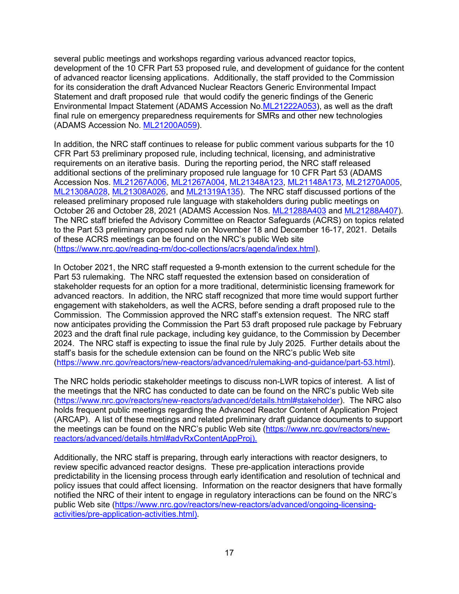several public meetings and workshops regarding various advanced reactor topics, development of the 10 CFR Part 53 proposed rule, and development of guidance for the content of advanced reactor licensing applications. Additionally, the staff provided to the Commission for its consideration the draft Advanced Nuclear Reactors Generic Environmental Impact Statement and draft proposed rule that would codify the generic findings of the Generic Environmental Impact Statement (ADAMS Accession No[.ML21222A053\)](https://adamswebsearch2.nrc.gov/webSearch2/main.jsp?AccessionNumber=ML21222A053), as well as the draft final rule on emergency preparedness requirements for SMRs and other new technologies (ADAMS Accession No. [ML21200A059\)](https://adamswebsearch2.nrc.gov/webSearch2/main.jsp?AccessionNumber=ML21200A059).

In addition, the NRC staff continues to release for public comment various subparts for the 10 CFR Part 53 preliminary proposed rule, including technical, licensing, and administrative requirements on an iterative basis. During the reporting period, the NRC staff released additional sections of the preliminary proposed rule language for 10 CFR Part 53 (ADAMS Accession Nos. [ML21267A006,](https://adamswebsearch2.nrc.gov/webSearch2/main.jsp?AccessionNumber=ML21267A006) [ML21267A004,](https://adamswebsearch2.nrc.gov/webSearch2/main.jsp?AccessionNumber=ML21267A004) [ML21348A123,](https://adamswebsearch2.nrc.gov/webSearch2/main.jsp?AccessionNumber=ML21348A123) [ML21148A173,](https://adamswebsearch2.nrc.gov/webSearch2/main.jsp?AccessionNumber=ML21148A173) [ML21270A005,](https://adamswebsearch2.nrc.gov/webSearch2/main.jsp?AccessionNumber=ML21270A005) [ML21308A028,](https://adamswebsearch2.nrc.gov/webSearch2/main.jsp?AccessionNumber=ML21308A028) [ML21308A026,](https://adamswebsearch2.nrc.gov/webSearch2/main.jsp?AccessionNumber=ML21308A026) and [ML21319A135\)](https://adamswebsearch2.nrc.gov/webSearch2/main.jsp?AccessionNumber=ML21319A135). The NRC staff discussed portions of the released preliminary proposed rule language with stakeholders during public meetings on October 26 and October 28, 2021 (ADAMS Accession Nos. [ML21288A403](https://adamswebsearch2.nrc.gov/webSearch2/main.jsp?AccessionNumber=ML21288A403) and [ML21288A407\)](https://adamswebsearch2.nrc.gov/webSearch2/main.jsp?AccessionNumber=ML21288A407). The NRC staff briefed the Advisory Committee on Reactor Safeguards (ACRS) on topics related to the Part 53 preliminary proposed rule on November 18 and December 16-17, 2021. Details of these ACRS meetings can be found on the NRC's public Web site [\(https://www.nrc.gov/reading-rm/doc-collections/acrs/agenda/index.html\)](https://www.nrc.gov/reading-rm/doc-collections/acrs/agenda/index.html).

In October 2021, the NRC staff requested a 9-month extension to the current schedule for the Part 53 rulemaking. The NRC staff requested the extension based on consideration of stakeholder requests for an option for a more traditional, deterministic licensing framework for advanced reactors. In addition, the NRC staff recognized that more time would support further engagement with stakeholders, as well the ACRS, before sending a draft proposed rule to the Commission. The Commission approved the NRC staff's extension request. The NRC staff now anticipates providing the Commission the Part 53 draft proposed rule package by February 2023 and the draft final rule package, including key guidance, to the Commission by December 2024. The NRC staff is expecting to issue the final rule by July 2025. Further details about the staff's basis for the schedule extension can be found on the NRC's public Web site [\(https://www.nrc.gov/reactors/new-reactors/advanced/rulemaking-and-guidance/part-53.html\)](https://www.nrc.gov/reactors/new-reactors/advanced/rulemaking-and-guidance/part-53.html).

The NRC holds periodic stakeholder meetings to discuss non-LWR topics of interest. A list of the meetings that the NRC has conducted to date can be found on the NRC's public Web site [\(https://www.nrc.gov/reactors/new-reactors/advanced/details.html#stakeholder\)](https://www.nrc.gov/reactors/new-reactors/advanced/details.html#stakeholder). The NRC also holds frequent public meetings regarding the Advanced Reactor Content of Application Project (ARCAP). A list of these meetings and related preliminary draft guidance documents to support the meetings can be found on the NRC's public Web site [\(https://www.nrc.gov/reactors/new](https://www.nrc.gov/reactors/new-reactors/advanced/details.html#advRxContentAppProj)[reactors/advanced/details.html#advRxContentAppProj\)](https://www.nrc.gov/reactors/new-reactors/advanced/details.html#advRxContentAppProj).

Additionally, the NRC staff is preparing, through early interactions with reactor designers, to review specific advanced reactor designs. These pre-application interactions provide predictability in the licensing process through early identification and resolution of technical and policy issues that could affect licensing. Information on the reactor designers that have formally notified the NRC of their intent to engage in regulatory interactions can be found on the NRC's public Web site [\(https://www.nrc.gov/reactors/new-reactors/advanced/ongoing-licensing](https://www.nrc.gov/reactors/new-reactors/advanced/ongoing-licensing-activities/pre-application-activities.html)[activities/pre-application-activities.html\)](https://www.nrc.gov/reactors/new-reactors/advanced/ongoing-licensing-activities/pre-application-activities.html).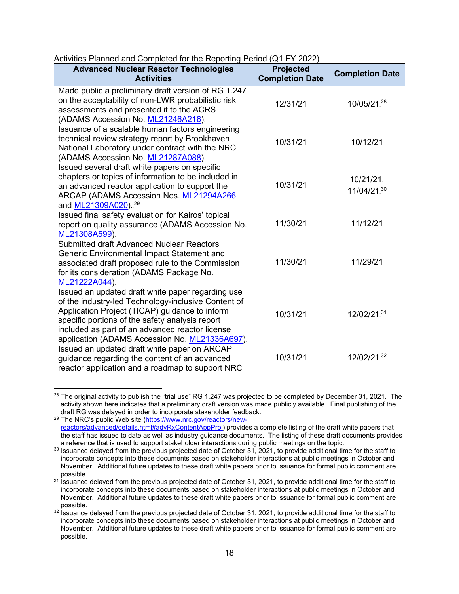| <b>Advanced Nuclear Reactor Technologies</b><br><b>Activities</b>                                                                                                                                                                                                                                                  | <b>Projected</b><br><b>Completion Date</b> | <b>Completion Date</b>   |
|--------------------------------------------------------------------------------------------------------------------------------------------------------------------------------------------------------------------------------------------------------------------------------------------------------------------|--------------------------------------------|--------------------------|
| Made public a preliminary draft version of RG 1.247<br>on the acceptability of non-LWR probabilistic risk<br>assessments and presented it to the ACRS<br>(ADAMS Accession No. ML21246A216).                                                                                                                        | 12/31/21                                   | 10/05/21.28              |
| Issuance of a scalable human factors engineering<br>technical review strategy report by Brookhaven<br>National Laboratory under contract with the NRC<br>(ADAMS Accession No. ML21287A088).                                                                                                                        | 10/31/21                                   | 10/12/21                 |
| Issued several draft white papers on specific<br>chapters or topics of information to be included in<br>an advanced reactor application to support the<br>ARCAP (ADAMS Accession Nos. ML21294A266<br>and ML21309A020). <sup>29</sup>                                                                               | 10/31/21                                   | 10/21/21,<br>11/04/21.30 |
| Issued final safety evaluation for Kairos' topical<br>report on quality assurance (ADAMS Accession No.<br>ML21308A599).                                                                                                                                                                                            | 11/30/21                                   | 11/12/21                 |
| Submitted draft Advanced Nuclear Reactors<br>Generic Environmental Impact Statement and<br>associated draft proposed rule to the Commission<br>for its consideration (ADAMS Package No.<br>ML21222A044).                                                                                                           | 11/30/21                                   | 11/29/21                 |
| Issued an updated draft white paper regarding use<br>of the industry-led Technology-inclusive Content of<br>Application Project (TICAP) guidance to inform<br>specific portions of the safety analysis report<br>included as part of an advanced reactor license<br>application (ADAMS Accession No. ML21336A697). | 10/31/21                                   | 12/02/2131               |
| Issued an updated draft white paper on ARCAP<br>guidance regarding the content of an advanced<br>reactor application and a roadmap to support NRC                                                                                                                                                                  | 10/31/21                                   | 12/02/21.32              |

### Activities Planned and Completed for the Reporting Period (Q1 FY 2022)

 $28$  The original activity to publish the "trial use" RG 1.247 was projected to be completed by December 31, 2021. The activity shown here indicates that a preliminary draft version was made publicly available. Final publishing of the draft RG was delayed in order to incorporate stakeholder feedback.

<sup>&</sup>lt;sup>29</sup> The NRC's public Web site (<u>https://www.nrc.gov/reactors/new-</u> <u>reactors/advanced/details.html#advRxContentAppProi</u>) provides a complete listing of the draft white papers that the staff has issued to date as well as industry guidance documents. The listing of these draft documents provides a reference that is used to support stakeholder interactions during public meetings on the topic.

<sup>30</sup> Issuance delayed from the previous projected date of October 31, 2021, to provide additional time for the staff to incorporate concepts into these documents based on stakeholder interactions at public meetings in October and November. Additional future updates to these draft white papers prior to issuance for formal public comment are possible.

<sup>&</sup>lt;sup>31</sup> Issuance delayed from the previous projected date of October 31, 2021, to provide additional time for the staff to incorporate concepts into these documents based on stakeholder interactions at public meetings in October and November. Additional future updates to these draft white papers prior to issuance for formal public comment are possible.

 $32$  Issuance delayed from the previous projected date of October 31, 2021, to provide additional time for the staff to incorporate concepts into these documents based on stakeholder interactions at public meetings in October and November. Additional future updates to these draft white papers prior to issuance for formal public comment are possible.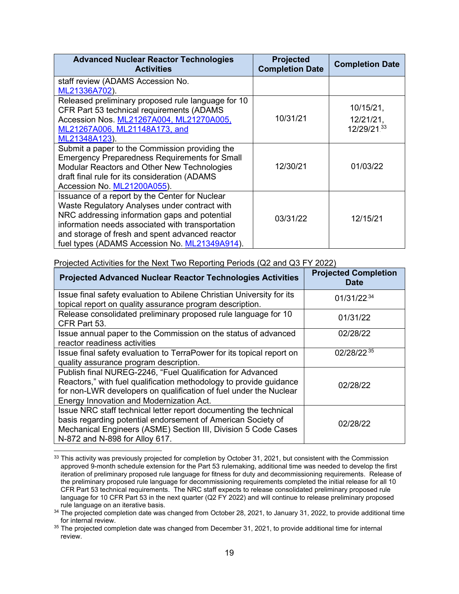| <b>Advanced Nuclear Reactor Technologies</b><br><b>Activities</b> | <b>Projected</b><br><b>Completion Date</b> | <b>Completion Date</b> |
|-------------------------------------------------------------------|--------------------------------------------|------------------------|
| staff review (ADAMS Accession No.                                 |                                            |                        |
| ML21336A702).                                                     |                                            |                        |
| Released preliminary proposed rule language for 10                |                                            |                        |
| CFR Part 53 technical requirements (ADAMS                         |                                            | 10/15/21,              |
| Accession Nos. ML21267A004, ML21270A005,                          | 10/31/21                                   | $12/21/21$ ,           |
| ML21267A006, ML21148A173, and                                     |                                            | 12/29/21.33            |
| ML21348A123).                                                     |                                            |                        |
| Submit a paper to the Commission providing the                    |                                            |                        |
| <b>Emergency Preparedness Requirements for Small</b>              |                                            |                        |
| Modular Reactors and Other New Technologies                       | 12/30/21                                   | 01/03/22               |
| draft final rule for its consideration (ADAMS                     |                                            |                        |
| Accession No. ML21200A055).                                       |                                            |                        |
| Issuance of a report by the Center for Nuclear                    |                                            |                        |
| Waste Regulatory Analyses under contract with                     |                                            |                        |
| NRC addressing information gaps and potential                     | 03/31/22                                   | 12/15/21               |
| information needs associated with transportation                  |                                            |                        |
| and storage of fresh and spent advanced reactor                   |                                            |                        |
| fuel types (ADAMS Accession No. ML21349A914).                     |                                            |                        |

| <b>Projected Advanced Nuclear Reactor Technologies Activities</b>                                                                                                                                                                                 | <b>Projected Completion</b><br><b>Date</b> |
|---------------------------------------------------------------------------------------------------------------------------------------------------------------------------------------------------------------------------------------------------|--------------------------------------------|
| Issue final safety evaluation to Abilene Christian University for its<br>topical report on quality assurance program description.                                                                                                                 | 01/31/22 34                                |
| Release consolidated preliminary proposed rule language for 10<br>CFR Part 53.                                                                                                                                                                    | 01/31/22                                   |
| Issue annual paper to the Commission on the status of advanced<br>reactor readiness activities                                                                                                                                                    | 02/28/22                                   |
| Issue final safety evaluation to TerraPower for its topical report on<br>quality assurance program description.                                                                                                                                   | 02/28/22.35                                |
| Publish final NUREG-2246, "Fuel Qualification for Advanced<br>Reactors," with fuel qualification methodology to provide guidance<br>for non-LWR developers on qualification of fuel under the Nuclear<br>Energy Innovation and Modernization Act. | 02/28/22                                   |
| Issue NRC staff technical letter report documenting the technical<br>basis regarding potential endorsement of American Society of<br>Mechanical Engineers (ASME) Section III, Division 5 Code Cases<br>N-872 and N-898 for Alloy 617.             | 02/28/22                                   |

Projected Activities for the Next Two Reporting Periods (Q2 and Q3 FY 2022)

<sup>33</sup> This activity was previously projected for completion by October 31, 2021, but consistent with the Commission approved 9-month schedule extension for the Part 53 rulemaking, additional time was needed to develop the first iteration of preliminary proposed rule language for fitness for duty and decommissioning requirements. Release of the preliminary proposed rule language for decommissioning requirements completed the initial release for all 10 CFR Part 53 technical requirements. The NRC staff expects to release consolidated preliminary proposed rule language for 10 CFR Part 53 in the next quarter (Q2 FY 2022) and will continue to release preliminary proposed rule language on an iterative basis.

<sup>&</sup>lt;sup>34</sup> The projected completion date was changed from October 28, 2021, to January 31, 2022, to provide additional time for internal review.

<sup>&</sup>lt;sup>35</sup> The projected completion date was changed from December 31, 2021, to provide additional time for internal review.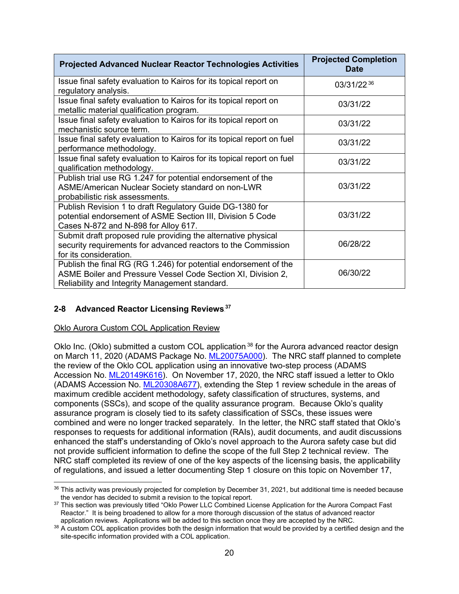| <b>Projected Advanced Nuclear Reactor Technologies Activities</b>                                                                                                                  | <b>Projected Completion</b><br><b>Date</b> |
|------------------------------------------------------------------------------------------------------------------------------------------------------------------------------------|--------------------------------------------|
| Issue final safety evaluation to Kairos for its topical report on<br>regulatory analysis.                                                                                          | 03/31/22.36                                |
| Issue final safety evaluation to Kairos for its topical report on<br>metallic material qualification program.                                                                      | 03/31/22                                   |
| Issue final safety evaluation to Kairos for its topical report on<br>mechanistic source term.                                                                                      | 03/31/22                                   |
| Issue final safety evaluation to Kairos for its topical report on fuel<br>performance methodology.                                                                                 | 03/31/22                                   |
| Issue final safety evaluation to Kairos for its topical report on fuel<br>qualification methodology.                                                                               | 03/31/22                                   |
| Publish trial use RG 1.247 for potential endorsement of the<br>ASME/American Nuclear Society standard on non-LWR<br>probabilistic risk assessments.                                | 03/31/22                                   |
| Publish Revision 1 to draft Regulatory Guide DG-1380 for<br>potential endorsement of ASME Section III, Division 5 Code<br>Cases N-872 and N-898 for Alloy 617.                     | 03/31/22                                   |
| Submit draft proposed rule providing the alternative physical<br>security requirements for advanced reactors to the Commission<br>for its consideration.                           | 06/28/22                                   |
| Publish the final RG (RG 1.246) for potential endorsement of the<br>ASME Boiler and Pressure Vessel Code Section XI, Division 2,<br>Reliability and Integrity Management standard. | 06/30/22                                   |

# <span id="page-19-0"></span>2-8 Advanced Reactor Licensing Reviews.<sup>37</sup>

### Oklo Aurora Custom COL Application Review

Oklo Inc. (Oklo) submitted a custom COL application. $38$  for the Aurora advanced reactor design on March 11, 2020 (ADAMS Package No. [ML20075A000\)](https://adamswebsearch2.nrc.gov/webSearch2/main.jsp?AccessionNumber=ML20075A000). The NRC staff planned to complete the review of the Oklo COL application using an innovative two-step process (ADAMS Accession No. [ML20149K616\)](https://adamswebsearch2.nrc.gov/webSearch2/main.jsp?AccessionNumber=ML20149K616). On November 17, 2020, the NRC staff issued a letter to Oklo (ADAMS Accession No. [ML20308A677\)](https://www.nrc.gov/docs/ML2030/ML20308A677.pdf), extending the Step 1 review schedule in the areas of maximum credible accident methodology, safety classification of structures, systems, and components (SSCs), and scope of the quality assurance program. Because Oklo's quality assurance program is closely tied to its safety classification of SSCs, these issues were combined and were no longer tracked separately. In the letter, the NRC staff stated that Oklo's responses to requests for additional information (RAIs), audit documents, and audit discussions enhanced the staff's understanding of Oklo's novel approach to the Aurora safety case but did not provide sufficient information to define the scope of the full Step 2 technical review. The NRC staff completed its review of one of the key aspects of the licensing basis, the applicability of regulations, and issued a letter documenting Step 1 closure on this topic on November 17,

<sup>&</sup>lt;sup>36</sup> This activity was previously projected for completion by December 31, 2021, but additional time is needed because the vendor has decided to submit a revision to the topical report.

<sup>&</sup>lt;sup>37</sup> This section was previously titled "Oklo Power LLC Combined License Application for the Aurora Compact Fast Reactor." It is being broadened to allow for a more thorough discussion of the status of advanced reactor application reviews. Applications will be added to this section once they are accepted by the NRC.

<sup>38</sup> A custom COL application provides both the design information that would be provided by a certified design and the site-specific information provided with a COL application.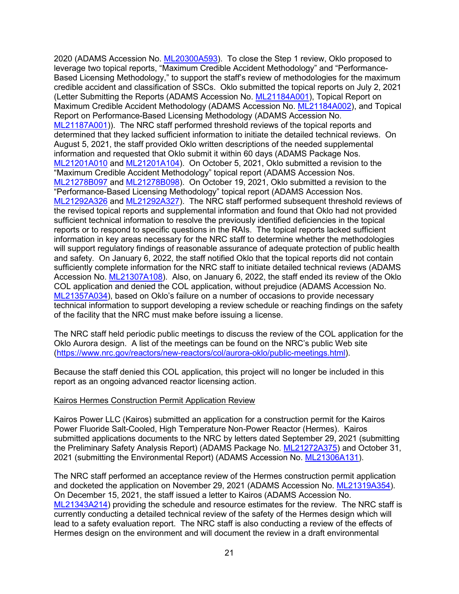2020 (ADAMS Accession No. [ML20300A593\)](https://www.nrc.gov/docs/ML2030/ML20300A593.pdf). To close the Step 1 review, Oklo proposed to leverage two topical reports, "Maximum Credible Accident Methodology" and "Performance-Based Licensing Methodology," to support the staff's review of methodologies for the maximum credible accident and classification of SSCs. Oklo submitted the topical reports on July 2, 2021 (Letter Submitting the Reports (ADAMS Accession No. [ML21184A001\)](https://adamswebsearch2.nrc.gov/webSearch2/main.jsp?AccessionNumber=ML21184A001), Topical Report on Maximum Credible Accident Methodology (ADAMS Accession No. [ML21184A002\)](https://adamswebsearch2.nrc.gov/webSearch2/main.jsp?AccessionNumber=ML21184A002), and Topical Report on Performance-Based Licensing Methodology (ADAMS Accession No. [ML21187A001\)](https://adamswebsearch2.nrc.gov/webSearch2/main.jsp?AccessionNumber=ML21187A001)). The NRC staff performed threshold reviews of the topical reports and determined that they lacked sufficient information to initiate the detailed technical reviews. On August 5, 2021, the staff provided Oklo written descriptions of the needed supplemental information and requested that Oklo submit it within 60 days (ADAMS Package Nos. [ML21201A010](https://www.nrc.gov/docs/ML2120/ML21201A010.html) and [ML21201A104\)](https://www.nrc.gov/docs/ML2120/ML21201A104.html). On October 5, 2021, Oklo submitted a revision to the "Maximum Credible Accident Methodology" topical report (ADAMS Accession Nos. [ML21278B097](https://www.nrc.gov/docs/ML2127/ML21278B097.pdf) and [ML21278B098\)](https://www.nrc.gov/docs/ML2127/ML21278B098.pdf). On October 19, 2021, Oklo submitted a revision to the "Performance-Based Licensing Methodology" topical report (ADAMS Accession Nos. [ML21292A326](https://www.nrc.gov/docs/ML2129/ML21292A326.pdf) and [ML21292A327\)](https://www.nrc.gov/docs/ML2129/ML21292A327.pdf). The NRC staff performed subsequent threshold reviews of the revised topical reports and supplemental information and found that Oklo had not provided sufficient technical information to resolve the previously identified deficiencies in the topical reports or to respond to specific questions in the RAIs. The topical reports lacked sufficient information in key areas necessary for the NRC staff to determine whether the methodologies will support regulatory findings of reasonable assurance of adequate protection of public health and safety. On January 6, 2022, the staff notified Oklo that the topical reports did not contain sufficiently complete information for the NRC staff to initiate detailed technical reviews (ADAMS Accession No. [ML21307A108\)](https://adamswebsearch2.nrc.gov/webSearch2/main.jsp?AccessionNumber=ML21307A108). Also, on January 6, 2022, the staff ended its review of the Oklo COL application and denied the COL application, without prejudice (ADAMS Accession No. [ML21357A034\)](https://adamsxt.nrc.gov/navigator/AdamsXT/content/downloadContent.faces?objectStoreName=MainLibrary&vsId=%7b360B2533-16AD-C843-BEEC-7DE78F700000%7d&ForceBrowserDownloadMgrPrompt=false), based on Oklo's failure on a number of occasions to provide necessary technical information to support developing a review schedule or reaching findings on the safety of the facility that the NRC must make before issuing a license.

The NRC staff held periodic public meetings to discuss the review of the COL application for the Oklo Aurora design. A list of the meetings can be found on the NRC's public Web site [\(https://www.nrc.gov/reactors/new-reactors/col/aurora-oklo/public-meetings.html\)](https://www.nrc.gov/reactors/new-reactors/col/aurora-oklo/public-meetings.html).

Because the staff denied this COL application, this project will no longer be included in this report as an ongoing advanced reactor licensing action.

#### Kairos Hermes Construction Permit Application Review

Kairos Power LLC (Kairos) submitted an application for a construction permit for the Kairos Power Fluoride Salt-Cooled, High Temperature Non-Power Reactor (Hermes). Kairos submitted applications documents to the NRC by letters dated September 29, 2021 (submitting the Preliminary Safety Analysis Report) (ADAMS Package No. [ML21272A375\)](https://www.nrc.gov/docs/ML2127/ML21272A375.html) and October 31, 2021 (submitting the Environmental Report) (ADAMS Accession No. [ML21306A131\)](https://www.nrc.gov/docs/ML2130/ML21306A131.html).

The NRC staff performed an acceptance review of the Hermes construction permit application and docketed the application on November 29, 2021 (ADAMS Accession No. [ML21319A354\)](https://www.nrc.gov/docs/ML2131/ML21319A354.pdf). On December 15, 2021, the staff issued a letter to Kairos (ADAMS Accession No. [ML21343A214\)](https://adamswebsearch2.nrc.gov/webSearch2/main.jsp?AccessionNumber=ML21343A214) providing the schedule and resource estimates for the review. The NRC staff is currently conducting a detailed technical review of the safety of the Hermes design which will lead to a safety evaluation report. The NRC staff is also conducting a review of the effects of Hermes design on the environment and will document the review in a draft environmental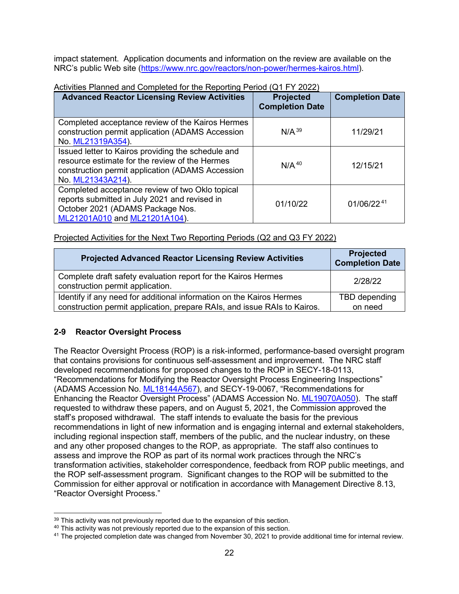impact statement. Application documents and information on the review are available on the NRC's public Web site [\(https://www.nrc.gov/reactors/non-power/hermes-kairos.html\)](https://www.nrc.gov/reactors/non-power/hermes-kairos.html).

| <b>Advanced Reactor Licensing Review Activities</b>                                                                                                                           | <b>Projected</b><br><b>Completion Date</b> | <b>Completion Date</b> |
|-------------------------------------------------------------------------------------------------------------------------------------------------------------------------------|--------------------------------------------|------------------------|
| Completed acceptance review of the Kairos Hermes<br>construction permit application (ADAMS Accession<br>No. ML21319A354).                                                     | $N/A^{39}$                                 | 11/29/21               |
| Issued letter to Kairos providing the schedule and<br>resource estimate for the review of the Hermes<br>construction permit application (ADAMS Accession<br>No. ML21343A214). | N/A <sup>40</sup>                          | 12/15/21               |
| Completed acceptance review of two Oklo topical<br>reports submitted in July 2021 and revised in<br>October 2021 (ADAMS Package Nos.<br>ML21201A010 and ML21201A104).         | 01/10/22                                   | $01/06/22^{41}$        |

### Activities Planned and Completed for the Reporting Period (Q1 FY 2022)

Projected Activities for the Next Two Reporting Periods (Q2 and Q3 FY 2022)

| <b>Projected Advanced Reactor Licensing Review Activities</b>                                     | Projected<br><b>Completion Date</b> |
|---------------------------------------------------------------------------------------------------|-------------------------------------|
| Complete draft safety evaluation report for the Kairos Hermes<br>construction permit application. | 2/28/22                             |
| Identify if any need for additional information on the Kairos Hermes                              | TBD depending                       |
| construction permit application, prepare RAIs, and issue RAIs to Kairos.                          | on need                             |

# <span id="page-21-0"></span>**2-9 Reactor Oversight Process**

The Reactor Oversight Process (ROP) is a risk-informed, performance-based oversight program that contains provisions for continuous self-assessment and improvement. The NRC staff developed recommendations for proposed changes to the ROP in SECY-18-0113, "Recommendations for Modifying the Reactor Oversight Process Engineering Inspections" (ADAMS Accession No. [ML18144A567\)](https://www.nrc.gov/docs/ML1814/ML18144A567.pdf), and SECY-19-0067, "Recommendations for Enhancing the Reactor Oversight Process" (ADAMS Accession No. [ML19070A050\)](https://adamswebsearch2.nrc.gov/webSearch2/main.jsp?AccessionNumber=ML19070A050). The staff requested to withdraw these papers, and on August 5, 2021, the Commission approved the staff's proposed withdrawal. The staff intends to evaluate the basis for the previous recommendations in light of new information and is engaging internal and external stakeholders, including regional inspection staff, members of the public, and the nuclear industry, on these and any other proposed changes to the ROP, as appropriate. The staff also continues to assess and improve the ROP as part of its normal work practices through the NRC's transformation activities, stakeholder correspondence, feedback from ROP public meetings, and the ROP self-assessment program. Significant changes to the ROP will be submitted to the Commission for either approval or notification in accordance with Management Directive 8.13, "Reactor Oversight Process."

<sup>&</sup>lt;sup>39</sup> This activity was not previously reported due to the expansion of this section.

<sup>&</sup>lt;sup>40</sup> This activity was not previously reported due to the expansion of this section.

<sup>&</sup>lt;sup>41</sup> The projected completion date was changed from November 30, 2021 to provide additional time for internal review.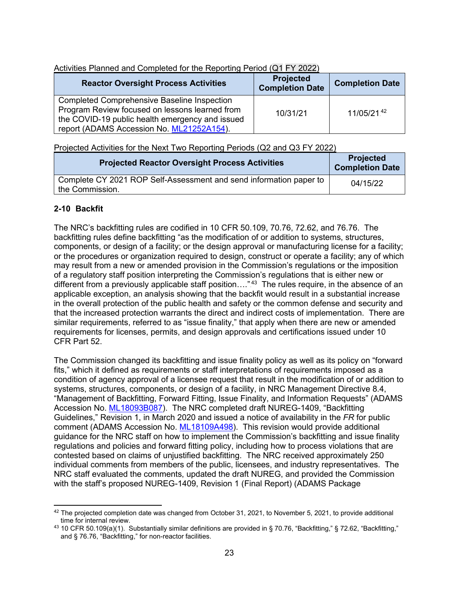| Activities Planned and Completed for the Reporting Period (Q1 FY 2022) |  |  |
|------------------------------------------------------------------------|--|--|
|                                                                        |  |  |

| <b>Reactor Oversight Process Activities</b>                                                                                                                                                          | <b>Projected</b><br><b>Completion Date</b> | <b>Completion Date</b> |
|------------------------------------------------------------------------------------------------------------------------------------------------------------------------------------------------------|--------------------------------------------|------------------------|
| <b>Completed Comprehensive Baseline Inspection</b><br>Program Review focused on lessons learned from<br>the COVID-19 public health emergency and issued<br>report (ADAMS Accession No. ML21252A154). | 10/31/21                                   | 11/05/21.42            |

Projected Activities for the Next Two Reporting Periods (Q2 and Q3 FY 2022)

| <b>Projected Reactor Oversight Process Activities</b>                                 | <b>Projected</b><br><b>Completion Date</b> |
|---------------------------------------------------------------------------------------|--------------------------------------------|
| Complete CY 2021 ROP Self-Assessment and send information paper to<br>the Commission. | 04/15/22                                   |

# <span id="page-22-0"></span>**2-10 Backfit**

The NRC's backfitting rules are codified in 10 CFR 50.109, 70.76, 72.62, and 76.76. The backfitting rules define backfitting "as the modification of or addition to systems, structures, components, or design of a facility; or the design approval or manufacturing license for a facility; or the procedures or organization required to design, construct or operate a facility; any of which may result from a new or amended provision in the Commission's regulations or the imposition of a regulatory staff position interpreting the Commission's regulations that is either new or different from a previously applicable staff position…."<sup>43</sup> The rules require, in the absence of an applicable exception, an analysis showing that the backfit would result in a substantial increase in the overall protection of the public health and safety or the common defense and security and that the increased protection warrants the direct and indirect costs of implementation. There are similar requirements, referred to as "issue finality," that apply when there are new or amended requirements for licenses, permits, and design approvals and certifications issued under 10 CFR Part 52.

The Commission changed its backfitting and issue finality policy as well as its policy on "forward fits," which it defined as requirements or staff interpretations of requirements imposed as a condition of agency approval of a licensee request that result in the modification of or addition to systems, structures, components, or design of a facility, in NRC Management Directive 8.4, "Management of Backfitting, Forward Fitting, Issue Finality, and Information Requests" (ADAMS Accession No. [ML18093B087\)](https://www.nrc.gov/docs/ML1809/ML18093B087.pdf). The NRC completed draft NUREG-1409, "Backfitting Guidelines," Revision 1, in March 2020 and issued a notice of availability in the *FR* for public comment (ADAMS Accession No. [ML18109A498\)](https://www.nrc.gov/docs/ML1810/ML18109A498.pdf). This revision would provide additional guidance for the NRC staff on how to implement the Commission's backfitting and issue finality regulations and policies and forward fitting policy, including how to process violations that are contested based on claims of unjustified backfitting. The NRC received approximately 250 individual comments from members of the public, licensees, and industry representatives. The NRC staff evaluated the comments, updated the draft NUREG, and provided the Commission with the staff's proposed NUREG-1409, Revision 1 (Final Report) (ADAMS Package

 $42$  The projected completion date was changed from October 31, 2021, to November 5, 2021, to provide additional time for internal review.

<sup>&</sup>lt;sup>43</sup> 10 CFR 50.109(a)(1). Substantially similar definitions are provided in § 70.76, "Backfitting," § 72.62, "Backfitting," and § 76.76, "Backfitting," for non-reactor facilities.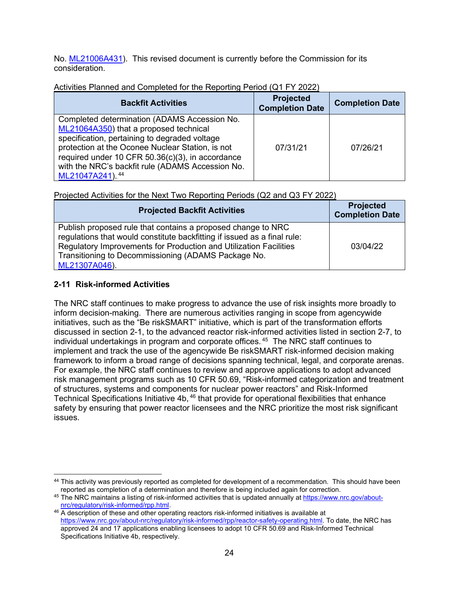No. [ML21006A431\)](https://adamswebsearch2.nrc.gov/webSearch2/main.jsp?AccessionNumber=ML21006A431). This revised document is currently before the Commission for its consideration.

| <b>Backfit Activities</b>                                                                                                                                                                                                                                                                                              | <b>Projected</b><br><b>Completion Date</b> | <b>Completion Date</b> |
|------------------------------------------------------------------------------------------------------------------------------------------------------------------------------------------------------------------------------------------------------------------------------------------------------------------------|--------------------------------------------|------------------------|
| Completed determination (ADAMS Accession No.<br>ML21064A350) that a proposed technical<br>specification, pertaining to degraded voltage<br>protection at the Oconee Nuclear Station, is not<br>required under 10 CFR 50.36(c)(3), in accordance<br>with the NRC's backfit rule (ADAMS Accession No.<br>ML21047A241).44 | 07/31/21                                   | 07/26/21               |

# Activities Planned and Completed for the Reporting Period (Q1 FY 2022)

Projected Activities for the Next Two Reporting Periods (Q2 and Q3 FY 2022)

| <b>Projected Backfit Activities</b>                                                                                                                                                                                                                                                   | <b>Projected</b><br><b>Completion Date</b> |
|---------------------------------------------------------------------------------------------------------------------------------------------------------------------------------------------------------------------------------------------------------------------------------------|--------------------------------------------|
| Publish proposed rule that contains a proposed change to NRC<br>regulations that would constitute backfitting if issued as a final rule:<br>Regulatory Improvements for Production and Utilization Facilities<br>Transitioning to Decommissioning (ADAMS Package No.<br>ML21307A046). | 03/04/22                                   |

# <span id="page-23-0"></span>**2-11 Risk-informed Activities**

The NRC staff continues to make progress to advance the use of risk insights more broadly to inform decision-making. There are numerous activities ranging in scope from agencywide initiatives, such as the "Be riskSMART" initiative, which is part of the transformation efforts discussed in section 2-1, to the advanced reactor risk-informed activities listed in section 2-7, to individual undertakings in program and corporate offices. $^{45}\,$  The NRC staff continues to implement and track the use of the agencywide Be riskSMART risk-informed decision making framework to inform a broad range of decisions spanning technical, legal, and corporate arenas. For example, the NRC staff continues to review and approve applications to adopt advanced risk management programs such as 10 CFR 50.69, "Risk-informed categorization and treatment of structures, systems and components for nuclear power reactors" and Risk-Informed Technical Specifications Initiative 4b, $^{46}$  that provide for operational flexibilities that enhance safety by ensuring that power reactor licensees and the NRC prioritize the most risk significant issues.

<sup>44</sup> This activity was previously reported as completed for development of a recommendation. This should have been reported as completion of a determination and therefore is being included again for correction.

<sup>&</sup>lt;sup>45</sup> The NRC maintains a listing of risk-informed activities that is updated annually a[t https://www.nrc.gov/about](https://www.nrc.gov/about-nrc/regulatory/risk-informed/rpp.html)[nrc/regulatory/risk-informed/rpp.html.](https://www.nrc.gov/about-nrc/regulatory/risk-informed/rpp.html)

<sup>46</sup> A description of these and other operating reactors risk-informed initiatives is available at [https://www.nrc.gov/about-nrc/regulatory/risk-informed/rpp/reactor-safety-operating.html.](https://www.nrc.gov/about-nrc/regulatory/risk-informed/rpp/reactor-safety-operating.html) To date, the NRC has approved 24 and 17 applications enabling licensees to adopt 10 CFR 50.69 and Risk-Informed Technical Specifications Initiative 4b, respectively.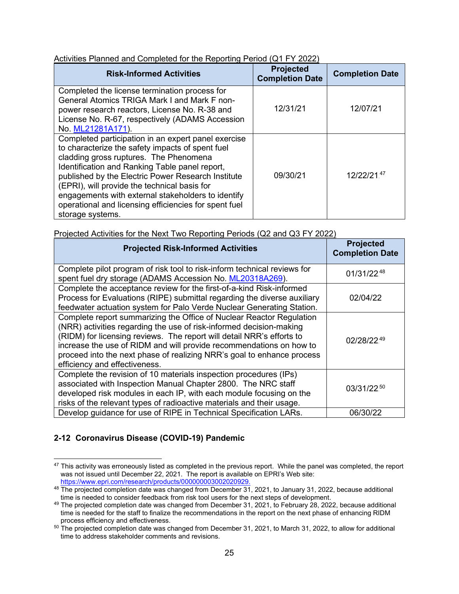| Activities Planned and Completed for the Reporting Period (Q1 FY 2022) |  |
|------------------------------------------------------------------------|--|
|                                                                        |  |

| <b>Risk-Informed Activities</b>                                                                                                                                                                                                                                                                                                                                                                                                              | <b>Projected</b><br><b>Completion Date</b> | <b>Completion Date</b> |
|----------------------------------------------------------------------------------------------------------------------------------------------------------------------------------------------------------------------------------------------------------------------------------------------------------------------------------------------------------------------------------------------------------------------------------------------|--------------------------------------------|------------------------|
| Completed the license termination process for<br>General Atomics TRIGA Mark I and Mark F non-<br>power research reactors, License No. R-38 and<br>License No. R-67, respectively (ADAMS Accession<br>No. ML21281A171).                                                                                                                                                                                                                       | 12/31/21                                   | 12/07/21               |
| Completed participation in an expert panel exercise<br>to characterize the safety impacts of spent fuel<br>cladding gross ruptures. The Phenomena<br>Identification and Ranking Table panel report,<br>published by the Electric Power Research Institute<br>(EPRI), will provide the technical basis for<br>engagements with external stakeholders to identify<br>operational and licensing efficiencies for spent fuel<br>storage systems. | 09/30/21                                   | 12/22/2147             |

Projected Activities for the Next Two Reporting Periods (Q2 and Q3 FY 2022)

| <b>Projected Risk-Informed Activities</b>                                                                                                                                                                                                                                                                                                                                                              | <b>Projected</b><br><b>Completion Date</b> |
|--------------------------------------------------------------------------------------------------------------------------------------------------------------------------------------------------------------------------------------------------------------------------------------------------------------------------------------------------------------------------------------------------------|--------------------------------------------|
| Complete pilot program of risk tool to risk-inform technical reviews for<br>spent fuel dry storage (ADAMS Accession No. ML20318A269).                                                                                                                                                                                                                                                                  | 01/31/2248                                 |
| Complete the acceptance review for the first-of-a-kind Risk-informed<br>Process for Evaluations (RIPE) submittal regarding the diverse auxiliary<br>feedwater actuation system for Palo Verde Nuclear Generating Station.                                                                                                                                                                              | 02/04/22                                   |
| Complete report summarizing the Office of Nuclear Reactor Regulation<br>(NRR) activities regarding the use of risk-informed decision-making<br>(RIDM) for licensing reviews. The report will detail NRR's efforts to<br>increase the use of RIDM and will provide recommendations on how to<br>proceed into the next phase of realizing NRR's goal to enhance process<br>efficiency and effectiveness. | 02/28/2249                                 |
| Complete the revision of 10 materials inspection procedures (IPs)<br>associated with Inspection Manual Chapter 2800. The NRC staff<br>developed risk modules in each IP, with each module focusing on the<br>risks of the relevant types of radioactive materials and their usage.                                                                                                                     | 03/31/22.50                                |
| Develop quidance for use of RIPE in Technical Specification LARs.                                                                                                                                                                                                                                                                                                                                      | 06/30/22                                   |

# <span id="page-24-0"></span>**2-12 Coronavirus Disease (COVID-19) Pandemic**

 $47$  This activity was erroneously listed as completed in the previous report. While the panel was completed, the report was not issued until December 22, 2021. The report is available on EPRI's Web site: [https://www.epri.com/research/products/000000003002020929.](https://www.epri.com/research/products/000000003002020929)

<sup>&</sup>lt;sup>48</sup> The projected completion date was changed from December 31, 2021, to January 31, 2022, because additional time is needed to consider feedback from risk tool users for the next steps of development.

<sup>49</sup> The projected completion date was changed from December 31, 2021, to February 28, 2022, because additional time is needed for the staff to finalize the recommendations in the report on the next phase of enhancing RIDM process efficiency and effectiveness.

 $50$  The projected completion date was changed from December 31, 2021, to March 31, 2022, to allow for additional time to address stakeholder comments and revisions.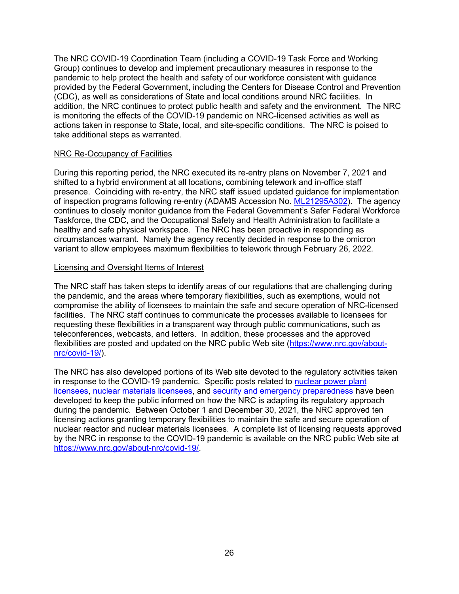The NRC COVID-19 Coordination Team (including a COVID-19 Task Force and Working Group) continues to develop and implement precautionary measures in response to the pandemic to help protect the health and safety of our workforce consistent with guidance provided by the Federal Government, including the Centers for Disease Control and Prevention (CDC), as well as considerations of State and local conditions around NRC facilities. In addition, the NRC continues to protect public health and safety and the environment. The NRC is monitoring the effects of the COVID-19 pandemic on NRC-licensed activities as well as actions taken in response to State, local, and site-specific conditions. The NRC is poised to take additional steps as warranted.

### NRC Re-Occupancy of Facilities

During this reporting period, the NRC executed its re-entry plans on November 7, 2021 and shifted to a hybrid environment at all locations, combining telework and in-office staff presence. Coinciding with re-entry, the NRC staff issued updated guidance for implementation of inspection programs following re-entry (ADAMS Accession No. [ML21295A302\)](https://adamswebsearch2.nrc.gov/webSearch2/main.jsp?AccessionNumber=ML21295A302). The agency continues to closely monitor guidance from the Federal Government's Safer Federal Workforce Taskforce, the CDC, and the Occupational Safety and Health Administration to facilitate a healthy and safe physical workspace. The NRC has been proactive in responding as circumstances warrant. Namely the agency recently decided in response to the omicron variant to allow employees maximum flexibilities to telework through February 26, 2022.

### Licensing and Oversight Items of Interest

The NRC staff has taken steps to identify areas of our regulations that are challenging during the pandemic, and the areas where temporary flexibilities, such as exemptions, would not compromise the ability of licensees to maintain the safe and secure operation of NRC-licensed facilities. The NRC staff continues to communicate the processes available to licensees for requesting these flexibilities in a transparent way through public communications, such as teleconferences, webcasts, and letters. In addition, these processes and the approved flexibilities are posted and updated on the NRC public Web site [\(https://www.nrc.gov/about](https://www.nrc.gov/about-nrc/covid-19/)[nrc/covid-19/\)](https://www.nrc.gov/about-nrc/covid-19/).

The NRC has also developed portions of its Web site devoted to the regulatory activities taken in response to the COVID-19 pandemic. Specific posts related to [nuclear power plant](https://www.nrc.gov/about-nrc/covid-19/reactors/)  [licensees,](https://www.nrc.gov/about-nrc/covid-19/reactors/) [nuclear materials licensees,](https://www.nrc.gov/about-nrc/covid-19/materials/) and [security and emergency preparedness h](https://www.nrc.gov/about-nrc/covid-19/security-ep/)ave been developed to keep the public informed on how the NRC is adapting its regulatory approach during the pandemic. Between October 1 and December 30, 2021, the NRC approved ten licensing actions granting temporary flexibilities to maintain the safe and secure operation of nuclear reactor and nuclear materials licensees. A complete list of licensing requests approved by the NRC in response to the COVID-19 pandemic is available on the NRC public Web site at [https://www.nrc.gov/about-nrc/covid-19/.](https://www.nrc.gov/about-nrc/covid-19/)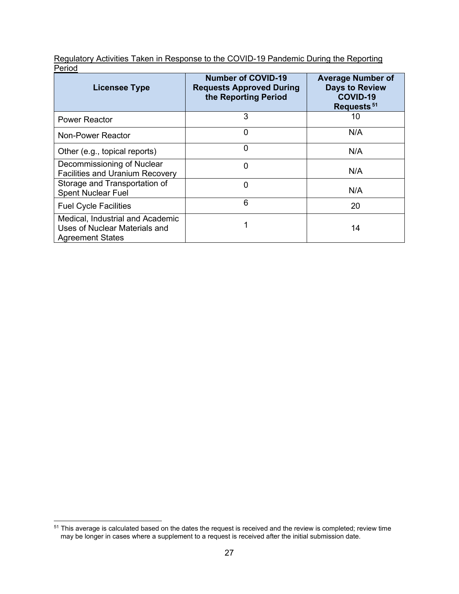Regulatory Activities Taken in Response to the COVID-19 Pandemic During the Reporting Period

| <b>Licensee Type</b>                                                                         | <b>Number of COVID-19</b><br><b>Requests Approved During</b><br>the Reporting Period | <b>Average Number of</b><br><b>Days to Review</b><br><b>COVID-19</b><br>Requests. <sup>51</sup> |
|----------------------------------------------------------------------------------------------|--------------------------------------------------------------------------------------|-------------------------------------------------------------------------------------------------|
| <b>Power Reactor</b>                                                                         | 3                                                                                    | 10                                                                                              |
| Non-Power Reactor                                                                            | $\Omega$                                                                             | N/A                                                                                             |
| Other (e.g., topical reports)                                                                | 0                                                                                    | N/A                                                                                             |
| Decommissioning of Nuclear<br><b>Facilities and Uranium Recovery</b>                         | $\Omega$                                                                             | N/A                                                                                             |
| Storage and Transportation of<br><b>Spent Nuclear Fuel</b>                                   | 0                                                                                    | N/A                                                                                             |
| <b>Fuel Cycle Facilities</b>                                                                 | 6                                                                                    | 20                                                                                              |
| Medical, Industrial and Academic<br>Uses of Nuclear Materials and<br><b>Agreement States</b> |                                                                                      | 14                                                                                              |

 $^{51}$  This average is calculated based on the dates the request is received and the review is completed; review time may be longer in cases where a supplement to a request is received after the initial submission date.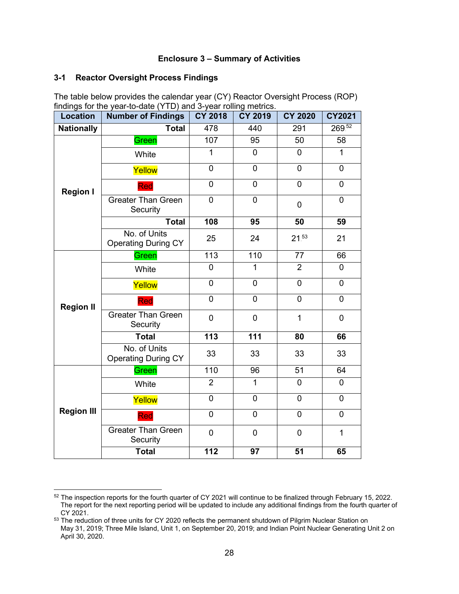### **Enclosure 3 – Summary of Activities**

### <span id="page-27-1"></span><span id="page-27-0"></span>**3-1 Reactor Oversight Process Findings**

The table below provides the calendar year (CY) Reactor Oversight Process (ROP) findings for the year-to-date (YTD) and 3-year rolling metrics.

| Location          | - , - -<br><b>Number of Findings</b>       | CY 2018        | <b>CY 2019</b> | <b>CY 2020</b>  | CY2021         |
|-------------------|--------------------------------------------|----------------|----------------|-----------------|----------------|
| <b>Nationally</b> | <b>Total</b>                               | 478            | 440            | 291             | 269.52         |
| <b>Region I</b>   | Green                                      | 107            | 95             | 50              | 58             |
|                   | White                                      | $\mathbf 1$    | $\overline{0}$ | $\overline{0}$  | $\mathbf{1}$   |
|                   | Yellow                                     | $\mathbf 0$    | $\mathbf 0$    | 0               | $\mathbf 0$    |
|                   | Red                                        | $\overline{0}$ | $\overline{0}$ | $\overline{0}$  | $\mathbf 0$    |
|                   | <b>Greater Than Green</b><br>Security      | $\mathbf 0$    | $\overline{0}$ | $\mathbf 0$     | $\mathbf 0$    |
|                   | <b>Total</b>                               | 108            | 95             | 50              | 59             |
|                   | No. of Units<br><b>Operating During CY</b> | 25             | 24             | $21^{53}$       | 21             |
|                   | Green                                      | 113            | 110            | 77              | 66             |
| <b>Region II</b>  | White                                      | $\overline{0}$ | $\mathbf{1}$   | $\overline{2}$  | $\overline{0}$ |
|                   | Yellow                                     | 0              | 0              | 0               | $\mathbf 0$    |
|                   | Red                                        | $\mathbf 0$    | $\overline{0}$ | 0               | $\mathbf 0$    |
|                   | <b>Greater Than Green</b><br>Security      | 0              | $\mathbf 0$    | $\mathbf{1}$    | $\mathbf 0$    |
|                   | <b>Total</b>                               | 113            | 111            | 80              | 66             |
|                   | No. of Units<br><b>Operating During CY</b> | 33             | 33             | 33              | 33             |
|                   | Green                                      | 110            | 96             | $\overline{51}$ | 64             |
|                   | White                                      | $\overline{2}$ | $\mathbf{1}$   | $\overline{0}$  | $\overline{0}$ |
|                   | Yellow                                     | $\mathbf 0$    | $\mathbf 0$    | 0               | $\mathbf 0$    |
| <b>Region III</b> | Red                                        | $\overline{0}$ | $\overline{0}$ | 0               | $\mathbf 0$    |
|                   | <b>Greater Than Green</b><br>Security      | $\overline{0}$ | $\overline{0}$ | 0               | $\mathbf{1}$   |
|                   | <b>Total</b>                               | 112            | 97             | 51              | 65             |

<sup>52</sup> The inspection reports for the fourth quarter of CY 2021 will continue to be finalized through February 15, 2022. The report for the next reporting period will be updated to include any additional findings from the fourth quarter of CY 2021.

<sup>53</sup> The reduction of three units for CY 2020 reflects the permanent shutdown of Pilgrim Nuclear Station on May 31, 2019; Three Mile Island, Unit 1, on September 20, 2019; and Indian Point Nuclear Generating Unit 2 on April 30, 2020.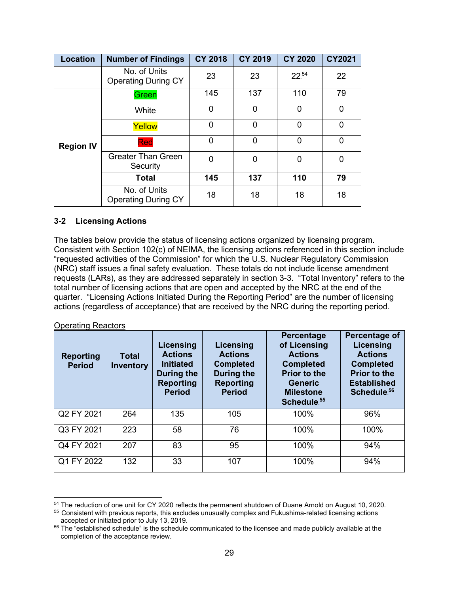| <b>Location</b>  | <b>Number of Findings</b>                  | <b>CY 2018</b> | <b>CY 2019</b> | <b>CY 2020</b> | <b>CY2021</b>  |
|------------------|--------------------------------------------|----------------|----------------|----------------|----------------|
|                  | No. of Units<br><b>Operating During CY</b> | 23             | 23             | $22^{54}$      | 22             |
|                  | Green                                      | 145            | 137            | 110            | 79             |
|                  | White                                      | 0              | $\Omega$       | 0              | $\mathbf 0$    |
| <b>Region IV</b> | Yellow                                     | 0              | $\Omega$       | 0              | $\overline{0}$ |
|                  | Red                                        | 0              | $\Omega$       | 0              | $\overline{0}$ |
|                  | <b>Greater Than Green</b><br>Security      | $\overline{0}$ | $\Omega$       | 0              | 0              |
|                  | <b>Total</b>                               | 145            | 137            | 110            | 79             |
|                  | No. of Units<br><b>Operating During CY</b> | 18             | 18             | 18             | 18             |

### <span id="page-28-0"></span>**3-2 Licensing Actions**

The tables below provide the status of licensing actions organized by licensing program. Consistent with Section 102(c) of NEIMA, the licensing actions referenced in this section include "requested activities of the Commission" for which the U.S. Nuclear Regulatory Commission (NRC) staff issues a final safety evaluation. These totals do not include license amendment requests (LARs), as they are addressed separately in section 3-3. "Total Inventory" refers to the total number of licensing actions that are open and accepted by the NRC at the end of the quarter. "Licensing Actions Initiated During the Reporting Period" are the number of licensing actions (regardless of acceptance) that are received by the NRC during the reporting period.

#### Operating Reactors

| <b>Reporting</b><br><b>Period</b> | <b>Total</b><br><b>Inventory</b> | Licensing<br><b>Actions</b><br><b>Initiated</b><br>During the<br><b>Reporting</b><br><b>Period</b> | <b>Licensing</b><br><b>Actions</b><br><b>Completed</b><br><b>During the</b><br><b>Reporting</b><br><b>Period</b> | Percentage<br>of Licensing<br><b>Actions</b><br><b>Completed</b><br><b>Prior to the</b><br><b>Generic</b><br><b>Milestone</b><br>Schedule. <sup>55</sup> | Percentage of<br><b>Licensing</b><br><b>Actions</b><br><b>Completed</b><br><b>Prior to the</b><br><b>Established</b><br>Schedule. <sup>56</sup> |
|-----------------------------------|----------------------------------|----------------------------------------------------------------------------------------------------|------------------------------------------------------------------------------------------------------------------|----------------------------------------------------------------------------------------------------------------------------------------------------------|-------------------------------------------------------------------------------------------------------------------------------------------------|
| Q2 FY 2021                        | 264                              | 135                                                                                                | 105                                                                                                              | 100%                                                                                                                                                     | 96%                                                                                                                                             |
| Q3 FY 2021                        | 223                              | 58                                                                                                 | 76                                                                                                               | 100%                                                                                                                                                     | 100%                                                                                                                                            |
| Q4 FY 2021                        | 207                              | 83                                                                                                 | 95                                                                                                               | 100%                                                                                                                                                     | 94%                                                                                                                                             |
| Q1 FY 2022                        | 132                              | 33                                                                                                 | 107                                                                                                              | 100%                                                                                                                                                     | 94%                                                                                                                                             |

<sup>54</sup> The reduction of one unit for CY 2020 reflects the permanent shutdown of Duane Arnold on August 10, 2020.

<sup>55</sup> Consistent with previous reports, this excludes unusually complex and Fukushima-related licensing actions accepted or initiated prior to July 13, 2019.

<sup>&</sup>lt;sup>56</sup> The "established schedule" is the schedule communicated to the licensee and made publicly available at the completion of the acceptance review.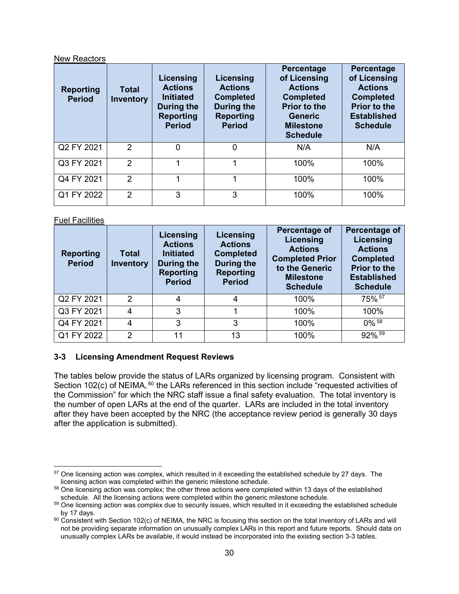### New Reactors

| <b>Reporting</b><br><b>Period</b> | <b>Total</b><br><b>Inventory</b> | Licensing<br><b>Actions</b><br><b>Initiated</b><br>During the<br><b>Reporting</b><br><b>Period</b> | Licensing<br><b>Actions</b><br><b>Completed</b><br>During the<br><b>Reporting</b><br><b>Period</b> | Percentage<br>of Licensing<br><b>Actions</b><br><b>Completed</b><br><b>Prior to the</b><br><b>Generic</b><br><b>Milestone</b><br><b>Schedule</b> | Percentage<br>of Licensing<br><b>Actions</b><br><b>Completed</b><br><b>Prior to the</b><br><b>Established</b><br><b>Schedule</b> |
|-----------------------------------|----------------------------------|----------------------------------------------------------------------------------------------------|----------------------------------------------------------------------------------------------------|--------------------------------------------------------------------------------------------------------------------------------------------------|----------------------------------------------------------------------------------------------------------------------------------|
| Q2 FY 2021                        | 2                                | $\overline{0}$                                                                                     | $\Omega$                                                                                           | N/A                                                                                                                                              | N/A                                                                                                                              |
| Q3 FY 2021                        | $\mathcal{P}$                    | 1                                                                                                  | 1                                                                                                  | 100%                                                                                                                                             | 100%                                                                                                                             |
| Q4 FY 2021                        | 2                                | ◢                                                                                                  | 4                                                                                                  | 100%                                                                                                                                             | 100%                                                                                                                             |
| Q1 FY 2022                        | $\overline{2}$                   | 3                                                                                                  | 3                                                                                                  | 100%                                                                                                                                             | 100%                                                                                                                             |

Fuel Facilities

| <b>Reporting</b><br><b>Period</b> | <b>Total</b><br><b>Inventory</b> | Licensing<br><b>Actions</b><br><b>Initiated</b><br><b>During the</b><br><b>Reporting</b><br><b>Period</b> | Licensing<br><b>Actions</b><br><b>Completed</b><br><b>During the</b><br><b>Reporting</b><br><b>Period</b> | Percentage of<br>Licensing<br><b>Actions</b><br><b>Completed Prior</b><br>to the Generic<br><b>Milestone</b><br><b>Schedule</b> | Percentage of<br>Licensing<br><b>Actions</b><br><b>Completed</b><br><b>Prior to the</b><br><b>Established</b><br><b>Schedule</b> |
|-----------------------------------|----------------------------------|-----------------------------------------------------------------------------------------------------------|-----------------------------------------------------------------------------------------------------------|---------------------------------------------------------------------------------------------------------------------------------|----------------------------------------------------------------------------------------------------------------------------------|
| Q2 FY 2021                        | 2                                | 4                                                                                                         | 4                                                                                                         | 100%                                                                                                                            | 75%.57                                                                                                                           |
| Q3 FY 2021                        | 4                                | 3                                                                                                         |                                                                                                           | 100%                                                                                                                            | 100%                                                                                                                             |
| Q4 FY 2021                        | 4                                | 3                                                                                                         | 3                                                                                                         | 100%                                                                                                                            | $0\%$ <sup>58</sup>                                                                                                              |
| Q1 FY 2022                        | $\overline{2}$                   | 11                                                                                                        | 13                                                                                                        | 100%                                                                                                                            | 92%.59                                                                                                                           |

# <span id="page-29-0"></span>**3-3 Licensing Amendment Request Reviews**

The tables below provide the status of LARs organized by licensing program. Consistent with Section 102(c) of NEIMA,  $60$  the LARs referenced in this section include "requested activities of the Commission" for which the NRC staff issue a final safety evaluation. The total inventory is the number of open LARs at the end of the quarter. LARs are included in the total inventory after they have been accepted by the NRC (the acceptance review period is generally 30 days after the application is submitted).

<sup>&</sup>lt;sup>57</sup> One licensing action was complex, which resulted in it exceeding the established schedule by 27 days. The licensing action was completed within the generic milestone schedule.

<sup>&</sup>lt;sup>58</sup> One licensing action was complex; the other three actions were completed within 13 days of the established schedule. All the licensing actions were completed within the generic milestone schedule.

 $59$  One licensing action was complex due to security issues, which resulted in it exceeding the established schedule<br>by 17 days.

 $60$  Consistent with Section 102(c) of NEIMA, the NRC is focusing this section on the total inventory of LARs and will not be providing separate information on unusually complex LARs in this report and future reports. Should data on unusually complex LARs be available, it would instead be incorporated into the existing section 3-3 tables.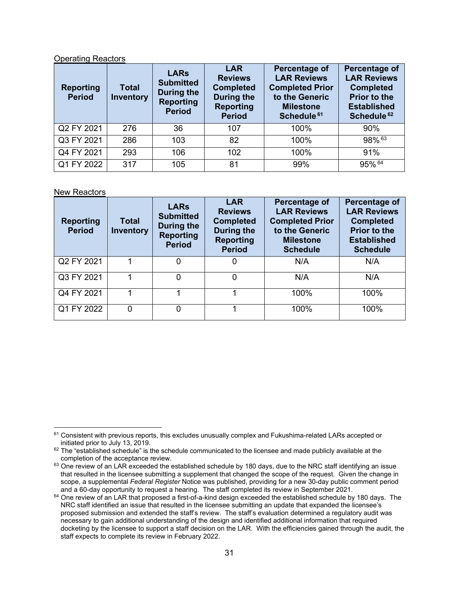#### Operating Reactors

| <b>Reporting</b><br><b>Period</b> | <b>Total</b><br>Inventory | <b>LARs</b><br><b>Submitted</b><br><b>During the</b><br><b>Reporting</b><br><b>Period</b> | <b>LAR</b><br><b>Reviews</b><br><b>Completed</b><br>During the<br><b>Reporting</b><br><b>Period</b> | Percentage of<br><b>LAR Reviews</b><br><b>Completed Prior</b><br>to the Generic<br><b>Milestone</b><br>Schedule. <sup>61</sup> | Percentage of<br><b>LAR Reviews</b><br><b>Completed</b><br><b>Prior to the</b><br><b>Established</b><br>Schedule. <sup>62</sup> |
|-----------------------------------|---------------------------|-------------------------------------------------------------------------------------------|-----------------------------------------------------------------------------------------------------|--------------------------------------------------------------------------------------------------------------------------------|---------------------------------------------------------------------------------------------------------------------------------|
| Q2 FY 2021                        | 276                       | 36                                                                                        | 107                                                                                                 | 100%                                                                                                                           | 90%                                                                                                                             |
| Q3 FY 2021                        | 286                       | 103                                                                                       | 82                                                                                                  | 100%                                                                                                                           | 98%63                                                                                                                           |
| Q4 FY 2021                        | 293                       | 106                                                                                       | 102                                                                                                 | 100%                                                                                                                           | 91%                                                                                                                             |
| Q1 FY 2022                        | 317                       | 105                                                                                       | 81                                                                                                  | 99%                                                                                                                            | 95% 64                                                                                                                          |

#### New Reactors

| <b>Reporting</b><br><b>Period</b> | <b>Total</b><br><b>Inventory</b> | <b>LARs</b><br><b>Submitted</b><br>During the<br><b>Reporting</b><br><b>Period</b> | <b>LAR</b><br><b>Reviews</b><br><b>Completed</b><br><b>During the</b><br><b>Reporting</b><br><b>Period</b> | Percentage of<br><b>LAR Reviews</b><br><b>Completed Prior</b><br>to the Generic<br><b>Milestone</b><br><b>Schedule</b> | <b>Percentage of</b><br><b>LAR Reviews</b><br><b>Completed</b><br><b>Prior to the</b><br><b>Established</b><br><b>Schedule</b> |
|-----------------------------------|----------------------------------|------------------------------------------------------------------------------------|------------------------------------------------------------------------------------------------------------|------------------------------------------------------------------------------------------------------------------------|--------------------------------------------------------------------------------------------------------------------------------|
| Q2 FY 2021                        |                                  | 0                                                                                  | 0                                                                                                          | N/A                                                                                                                    | N/A                                                                                                                            |
| Q3 FY 2021                        |                                  | 0                                                                                  | 0                                                                                                          | N/A                                                                                                                    | N/A                                                                                                                            |
| Q4 FY 2021                        |                                  |                                                                                    |                                                                                                            | 100%                                                                                                                   | 100%                                                                                                                           |
| Q1 FY 2022                        | 0                                | 0                                                                                  |                                                                                                            | 100%                                                                                                                   | 100%                                                                                                                           |

 $61$  Consistent with previous reports, this excludes unusually complex and Fukushima-related LARs accepted or initiated prior to July 13, 2019.

 $62$  The "established schedule" is the schedule communicated to the licensee and made publicly available at the completion of the acceptance review.

<sup>63</sup> One review of an LAR exceeded the established schedule by 180 days, due to the NRC staff identifying an issue that resulted in the licensee submitting a supplement that changed the scope of the request. Given the change in scope, a supplemental *Federal Register* Notice was published, providing for a new 30-day public comment period and a 60-day opportunity to request a hearing. The staff completed its review in September 2021.

<sup>64</sup> One review of an LAR that proposed a first-of-a-kind design exceeded the established schedule by 180 days. The NRC staff identified an issue that resulted in the licensee submitting an update that expanded the licensee's proposed submission and extended the staff's review. The staff's evaluation determined a regulatory audit was necessary to gain additional understanding of the design and identified additional information that required docketing by the licensee to support a staff decision on the LAR. With the efficiencies gained through the audit, the staff expects to complete its review in February 2022.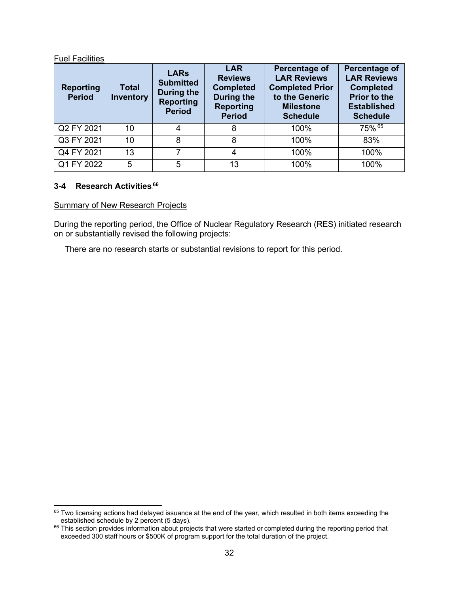#### Fuel Facilities

| <b>Reporting</b><br><b>Period</b> | <b>Total</b><br><b>Inventory</b> | <b>LARs</b><br><b>Submitted</b><br><b>During the</b><br><b>Reporting</b><br><b>Period</b> | <b>LAR</b><br><b>Reviews</b><br><b>Completed</b><br>During the<br><b>Reporting</b><br><b>Period</b> | Percentage of<br><b>LAR Reviews</b><br><b>Completed Prior</b><br>to the Generic<br><b>Milestone</b><br><b>Schedule</b> | Percentage of<br><b>LAR Reviews</b><br><b>Completed</b><br><b>Prior to the</b><br><b>Established</b><br><b>Schedule</b> |
|-----------------------------------|----------------------------------|-------------------------------------------------------------------------------------------|-----------------------------------------------------------------------------------------------------|------------------------------------------------------------------------------------------------------------------------|-------------------------------------------------------------------------------------------------------------------------|
| Q2 FY 2021                        | 10                               |                                                                                           | 8                                                                                                   | 100%                                                                                                                   | 75% 65                                                                                                                  |
| Q3 FY 2021                        | 10                               | 8                                                                                         | 8                                                                                                   | 100%                                                                                                                   | 83%                                                                                                                     |
| Q4 FY 2021                        | 13                               | 7                                                                                         | 4                                                                                                   | 100%                                                                                                                   | 100%                                                                                                                    |
| Q1 FY 2022                        | 5                                | 5                                                                                         | 13                                                                                                  | 100%                                                                                                                   | 100%                                                                                                                    |

# <span id="page-31-0"></span>**3-4 Research Activities**65F **66**

### Summary of New Research Projects

During the reporting period, the Office of Nuclear Regulatory Research (RES) initiated research on or substantially revised the following projects:

There are no research starts or substantial revisions to report for this period.

<sup>65</sup> Two licensing actions had delayed issuance at the end of the year, which resulted in both items exceeding the established schedule by 2 percent (5 days).

<sup>&</sup>lt;sup>66</sup> This section provides information about projects that were started or completed during the reporting period that exceeded 300 staff hours or \$500K of program support for the total duration of the project.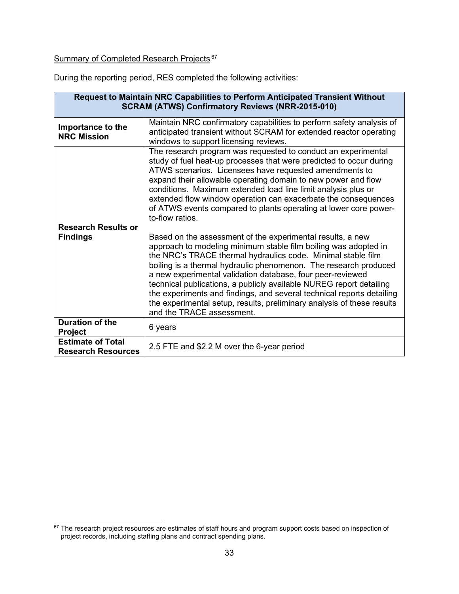# Summary of Completed Research Projects.<sup>67</sup>

During the reporting period, RES completed the following activities:

| Request to Maintain NRC Capabilities to Perform Anticipated Transient Without<br><b>SCRAM (ATWS) Confirmatory Reviews (NRR-2015-010)</b> |                                                                                                                                                                                                                                                                                                                                                                                                                                                                                                                                                                                        |  |  |  |  |
|------------------------------------------------------------------------------------------------------------------------------------------|----------------------------------------------------------------------------------------------------------------------------------------------------------------------------------------------------------------------------------------------------------------------------------------------------------------------------------------------------------------------------------------------------------------------------------------------------------------------------------------------------------------------------------------------------------------------------------------|--|--|--|--|
| Importance to the<br><b>NRC Mission</b>                                                                                                  | Maintain NRC confirmatory capabilities to perform safety analysis of<br>anticipated transient without SCRAM for extended reactor operating<br>windows to support licensing reviews.                                                                                                                                                                                                                                                                                                                                                                                                    |  |  |  |  |
| <b>Research Results or</b>                                                                                                               | The research program was requested to conduct an experimental<br>study of fuel heat-up processes that were predicted to occur during<br>ATWS scenarios. Licensees have requested amendments to<br>expand their allowable operating domain to new power and flow<br>conditions. Maximum extended load line limit analysis plus or<br>extended flow window operation can exacerbate the consequences<br>of ATWS events compared to plants operating at lower core power-<br>to-flow ratios                                                                                               |  |  |  |  |
| <b>Findings</b>                                                                                                                          | Based on the assessment of the experimental results, a new<br>approach to modeling minimum stable film boiling was adopted in<br>the NRC's TRACE thermal hydraulics code. Minimal stable film<br>boiling is a thermal hydraulic phenomenon. The research produced<br>a new experimental validation database, four peer-reviewed<br>technical publications, a publicly available NUREG report detailing<br>the experiments and findings, and several technical reports detailing<br>the experimental setup, results, preliminary analysis of these results<br>and the TRACE assessment. |  |  |  |  |
| <b>Duration of the</b><br><b>Project</b>                                                                                                 | 6 years                                                                                                                                                                                                                                                                                                                                                                                                                                                                                                                                                                                |  |  |  |  |
| <b>Estimate of Total</b><br><b>Research Resources</b>                                                                                    | 2.5 FTE and \$2.2 M over the 6-year period                                                                                                                                                                                                                                                                                                                                                                                                                                                                                                                                             |  |  |  |  |

 $^{67}$  The research project resources are estimates of staff hours and program support costs based on inspection of project records, including staffing plans and contract spending plans.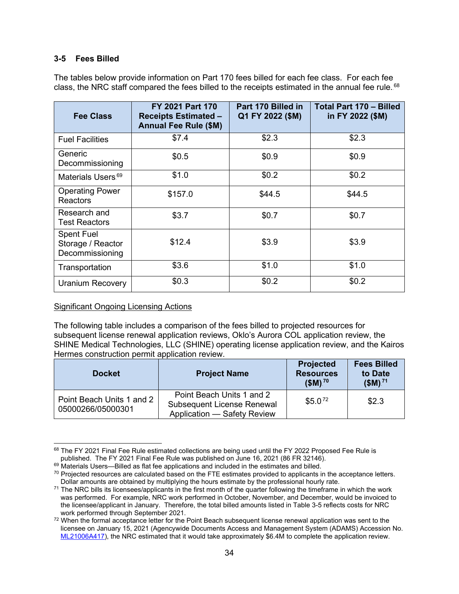### <span id="page-33-0"></span>**3-5 Fees Billed**

The tables below provide information on Part 170 fees billed for each fee class. For each fee class, the NRC staff compared the fees billed to the receipts estimated in the annual fee rule.  $^{68}$ 

| Fee Class                                                 | FY 2021 Part 170<br><b>Receipts Estimated -</b><br><b>Annual Fee Rule (\$M)</b> | Part 170 Billed in<br>Q1 FY 2022 (\$M) | <b>Total Part 170 - Billed</b><br>in FY 2022 (\$M) |
|-----------------------------------------------------------|---------------------------------------------------------------------------------|----------------------------------------|----------------------------------------------------|
| <b>Fuel Facilities</b>                                    | \$7.4                                                                           | \$2.3                                  | \$2.3                                              |
| Generic<br>Decommissioning                                | \$0.5                                                                           | \$0.9                                  | \$0.9                                              |
| Materials Users. <sup>69</sup>                            | \$1.0                                                                           | \$0.2                                  | \$0.2                                              |
| <b>Operating Power</b><br><b>Reactors</b>                 | \$157.0                                                                         | \$44.5                                 | \$44.5                                             |
| Research and<br><b>Test Reactors</b>                      | \$3.7                                                                           | \$0.7                                  | \$0.7                                              |
| <b>Spent Fuel</b><br>Storage / Reactor<br>Decommissioning | \$12.4                                                                          | \$3.9                                  | \$3.9                                              |
| Transportation                                            | \$3.6                                                                           | \$1.0                                  | \$1.0                                              |
| <b>Uranium Recovery</b>                                   | \$0.3                                                                           | \$0.2                                  | \$0.2\$                                            |

#### Significant Ongoing Licensing Actions

The following table includes a comparison of the fees billed to projected resources for subsequent license renewal application reviews, Oklo's Aurora COL application review, the SHINE Medical Technologies, LLC (SHINE) operating license application review, and the Kairos Hermes construction permit application review.

| <b>Docket</b>                                  | <b>Project Name</b>                                                                           | <b>Projected</b><br><b>Resources</b><br>$$M$ ) <sup>70</sup> | <b>Fees Billed</b><br>to Date<br>$$M$ ) <sup>71</sup> |
|------------------------------------------------|-----------------------------------------------------------------------------------------------|--------------------------------------------------------------|-------------------------------------------------------|
| Point Beach Units 1 and 2<br>05000266/05000301 | Point Beach Units 1 and 2<br><b>Subsequent License Renewal</b><br>Application - Safety Review | \$5.0 <sup>72</sup>                                          | \$2.3                                                 |

<sup>68</sup> The FY 2021 Final Fee Rule estimated collections are being used until the FY 2022 Proposed Fee Rule is published. The FY 2021 Final Fee Rule was published on June 16, 2021 (86 FR 32146).

 $69$  Materials Users—Billed as flat fee applications and included in the estimates and billed.

 $70$  Projected resources are calculated based on the FTE estimates provided to applicants in the acceptance letters. Dollar amounts are obtained by multiplying the hours estimate by the professional hourly rate.

 $71$  The NRC bills its licensees/applicants in the first month of the quarter following the timeframe in which the work was performed. For example, NRC work performed in October, November, and December, would be invoiced to the licensee/applicant in January. Therefore, the total billed amounts listed in Table 3-5 reflects costs for NRC work performed through September 2021.

<sup>&</sup>lt;sup>72</sup> When the formal acceptance letter for the Point Beach subsequent license renewal application was sent to the licensee on January 15, 2021 (Agencywide Documents Access and Management System (ADAMS) Accession No. [ML21006A417\)](https://www.nrc.gov/docs/ML2100/ML21006A417.pdf), the NRC estimated that it would take approximately \$6.4M to complete the application review.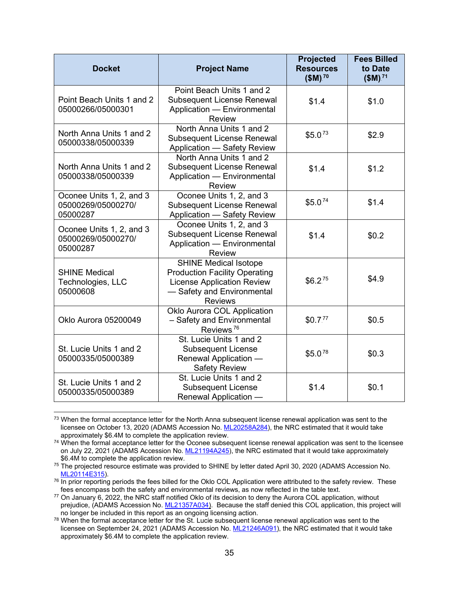| <b>Docket</b>                                              | <b>Project Name</b>                                                                                                                                       | <b>Projected</b><br><b>Resources</b><br>$$M$ ) <sup>70</sup> | <b>Fees Billed</b><br>to Date<br>$$M$ ). <sup>71</sup> |
|------------------------------------------------------------|-----------------------------------------------------------------------------------------------------------------------------------------------------------|--------------------------------------------------------------|--------------------------------------------------------|
| Point Beach Units 1 and 2<br>05000266/05000301             | Point Beach Units 1 and 2<br><b>Subsequent License Renewal</b><br>Application - Environmental<br><b>Review</b>                                            | \$1.4                                                        | \$1.0                                                  |
| North Anna Units 1 and 2<br>05000338/05000339              | North Anna Units 1 and 2<br><b>Subsequent License Renewal</b><br>Application - Safety Review                                                              | \$5.0 <sup>73</sup>                                          | \$2.9                                                  |
| North Anna Units 1 and 2<br>05000338/05000339              | North Anna Units 1 and 2<br><b>Subsequent License Renewal</b><br>Application - Environmental<br><b>Review</b>                                             | \$1.4                                                        | \$1.2                                                  |
| Oconee Units 1, 2, and 3<br>05000269/05000270/<br>05000287 | Oconee Units 1, 2, and 3<br><b>Subsequent License Renewal</b><br>Application - Safety Review                                                              | \$5.0 <sup>74</sup>                                          | \$1.4                                                  |
| Oconee Units 1, 2, and 3<br>05000269/05000270/<br>05000287 | Oconee Units 1, 2, and 3<br><b>Subsequent License Renewal</b><br>Application - Environmental<br><b>Review</b>                                             | \$1.4                                                        | \$0.2                                                  |
| <b>SHINE Medical</b><br>Technologies, LLC<br>05000608      | <b>SHINE Medical Isotope</b><br><b>Production Facility Operating</b><br><b>License Application Review</b><br>- Safety and Environmental<br><b>Reviews</b> | \$6.2 <sup>75</sup>                                          | \$4.9                                                  |
| Oklo Aurora 05200049                                       | Oklo Aurora COL Application<br>- Safety and Environmental<br>Reviews. <sup>76</sup>                                                                       | \$0.7 <sup>77</sup>                                          | \$0.5                                                  |
| St. Lucie Units 1 and 2<br>05000335/05000389               | St. Lucie Units 1 and 2<br><b>Subsequent License</b><br>Renewal Application -<br><b>Safety Review</b>                                                     | \$5.0 <sup>78</sup>                                          | \$0.3                                                  |
| St. Lucie Units 1 and 2<br>05000335/05000389               | St. Lucie Units 1 and 2<br><b>Subsequent License</b><br>Renewal Application -                                                                             | \$1.4                                                        | \$0.1                                                  |

<sup>&</sup>lt;sup>73</sup> When the formal acceptance letter for the North Anna subsequent license renewal application was sent to the licensee on October 13, 2020 (ADAMS Accession No[. ML20258A284\)](https://adamswebsearch2.nrc.gov/webSearch2/main.jsp?AccessionNumber=ML20258A284), the NRC estimated that it would take approximately \$6.4M to complete the application review.

<sup>&</sup>lt;sup>74</sup> When the formal acceptance letter for the Oconee subsequent license renewal application was sent to the licensee on July 22, 2021 (ADAMS Accession No. [ML21194A245\)](https://adamswebsearch2.nrc.gov/webSearch2/main.jsp?AccessionNumber=ML21194A245), the NRC estimated that it would take approximately \$6.4M to complete the application review.

<sup>&</sup>lt;sup>75</sup> The projected resource estimate was provided to SHINE by letter dated April 30, 2020 (ADAMS Accession No. [ML20114E315\)](https://adamswebsearch2.nrc.gov/webSearch2/main.jsp?AccessionNumber=ML20114E315).

 $76$  In prior reporting periods the fees billed for the Oklo COL Application were attributed to the safety review. These fees encompass both the safety and environmental reviews, as now reflected in the table text.

<sup>77</sup> On January 6, 2022, the NRC staff notified Oklo of its decision to deny the Aurora COL application, without prejudice, (ADAMS Accession No. [ML21357A034\)](https://adamsxt.nrc.gov/navigator/AdamsXT/content/downloadContent.faces?objectStoreName=MainLibrary&vsId=%7b360B2533-16AD-C843-BEEC-7DE78F700000%7d&ForceBrowserDownloadMgrPrompt=false). Because the staff denied this COL application, this project will no longer be included in this report as an ongoing licensing action.

<sup>&</sup>lt;sup>78</sup> When the formal acceptance letter for the St. Lucie subsequent license renewal application was sent to the licensee on September 24, 2021 (ADAMS Accession No[. ML21246A091\)](https://adamswebsearch2.nrc.gov/webSearch2/main.jsp?AccessionNumber=ML21246A091), the NRC estimated that it would take approximately \$6.4M to complete the application review.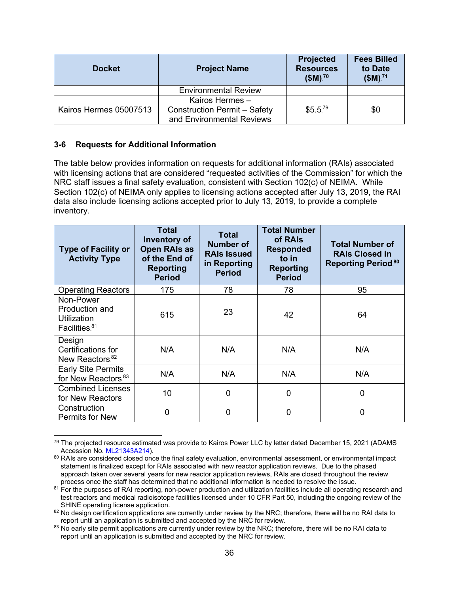| <b>Docket</b>          | <b>Project Name</b>                                                                 | Projected<br><b>Resources</b><br>$$M$ ) <sup>70</sup> | <b>Fees Billed</b><br>to Date<br>$$M$ ) <sup>71</sup> |
|------------------------|-------------------------------------------------------------------------------------|-------------------------------------------------------|-------------------------------------------------------|
|                        | <b>Environmental Review</b>                                                         |                                                       |                                                       |
| Kairos Hermes 05007513 | Kairos Hermes -<br><b>Construction Permit - Safety</b><br>and Environmental Reviews | \$5.5 <sup>79</sup>                                   | \$0                                                   |

# <span id="page-35-0"></span>**3-6 Requests for Additional Information**

The table below provides information on requests for additional information (RAIs) associated with licensing actions that are considered "requested activities of the Commission" for which the NRC staff issues a final safety evaluation, consistent with Section 102(c) of NEIMA. While Section 102(c) of NEIMA only applies to licensing actions accepted after July 13, 2019, the RAI data also include licensing actions accepted prior to July 13, 2019, to provide a complete inventory.

| <b>Type of Facility or</b><br><b>Activity Type</b>             | <b>Total</b><br>Inventory of<br><b>Open RAIs as</b><br>of the End of<br><b>Reporting</b><br><b>Period</b> | <b>Total</b><br>Number of<br><b>RAIs Issued</b><br>in Reporting<br><b>Period</b> | <b>Total Number</b><br>of RAIs<br><b>Responded</b><br>to in<br><b>Reporting</b><br><b>Period</b> | <b>Total Number of</b><br><b>RAIs Closed in</b><br><b>Reporting Period.80</b> |
|----------------------------------------------------------------|-----------------------------------------------------------------------------------------------------------|----------------------------------------------------------------------------------|--------------------------------------------------------------------------------------------------|-------------------------------------------------------------------------------|
| <b>Operating Reactors</b>                                      | 175                                                                                                       | 78                                                                               | 78                                                                                               | 95                                                                            |
| Non-Power<br>Production and<br>Utilization<br>Facilities. $81$ | 615                                                                                                       | 23                                                                               | 42                                                                                               | 64                                                                            |
| Design<br>Certifications for<br>New Reactors. <sup>82</sup>    | N/A                                                                                                       | N/A                                                                              | N/A                                                                                              | N/A                                                                           |
| <b>Early Site Permits</b><br>for New Reactors. <sup>83</sup>   | N/A                                                                                                       | N/A                                                                              | N/A                                                                                              | N/A                                                                           |
| <b>Combined Licenses</b><br>for New Reactors                   | 10                                                                                                        | 0                                                                                | $\mathbf 0$                                                                                      | 0                                                                             |
| Construction<br>Permits for New                                | 0                                                                                                         | 0                                                                                | 0                                                                                                | 0                                                                             |

<sup>&</sup>lt;sup>79</sup> The projected resource estimated was provide to Kairos Power LLC by letter dated December 15, 2021 (ADAMS Accession No. [ML21343A214\)](https://adamswebsearch2.nrc.gov/webSearch2/main.jsp?AccessionNumber=ML21343A214).

<sup>80</sup> RAIs are considered closed once the final safety evaluation, environmental assessment, or environmental impact statement is finalized except for RAIs associated with new reactor application reviews. Due to the phased approach taken over several years for new reactor application reviews, RAIs are closed throughout the review process once the staff has determined that no additional information is needed to resolve the issue.

<sup>&</sup>lt;sup>81</sup> For the purposes of RAI reporting, non-power production and utilization facilities include all operating research and test reactors and medical radioisotope facilities licensed under 10 CFR Part 50, including the ongoing review of the SHINE operating license application.

<sup>82</sup> No design certification applications are currently under review by the NRC; therefore, there will be no RAI data to report until an application is submitted and accepted by the NRC for review.

<sup>&</sup>lt;sup>83</sup> No early site permit applications are currently under review by the NRC; therefore, there will be no RAI data to report until an application is submitted and accepted by the NRC for review.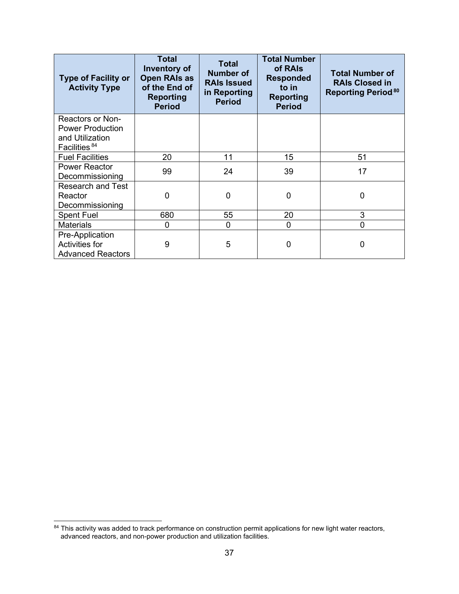| <b>Type of Facility or</b><br><b>Activity Type</b>                                          | <b>Total</b><br><b>Inventory of</b><br><b>Open RAIs as</b><br>of the End of<br><b>Reporting</b><br><b>Period</b> | <b>Total</b><br><b>Number of</b><br><b>RAIs Issued</b><br>in Reporting<br><b>Period</b> | <b>Total Number</b><br>of RAIs<br><b>Responded</b><br>to in<br><b>Reporting</b><br><b>Period</b> | <b>Total Number of</b><br><b>RAIs Closed in</b><br><b>Reporting Period.80</b> |
|---------------------------------------------------------------------------------------------|------------------------------------------------------------------------------------------------------------------|-----------------------------------------------------------------------------------------|--------------------------------------------------------------------------------------------------|-------------------------------------------------------------------------------|
| Reactors or Non-<br><b>Power Production</b><br>and Utilization<br>Facilities. <sup>84</sup> |                                                                                                                  |                                                                                         |                                                                                                  |                                                                               |
| <b>Fuel Facilities</b>                                                                      | 20                                                                                                               | 11                                                                                      | 15                                                                                               | 51                                                                            |
| <b>Power Reactor</b><br>Decommissioning                                                     | 99                                                                                                               | 24                                                                                      | 39                                                                                               | 17                                                                            |
| <b>Research and Test</b><br>Reactor<br>Decommissioning                                      | 0                                                                                                                | 0                                                                                       | 0                                                                                                | 0                                                                             |
| <b>Spent Fuel</b>                                                                           | 680                                                                                                              | 55                                                                                      | 20                                                                                               | 3                                                                             |
| <b>Materials</b>                                                                            | 0                                                                                                                | 0                                                                                       | 0                                                                                                | 0                                                                             |
| Pre-Application<br><b>Activities for</b><br><b>Advanced Reactors</b>                        | 9                                                                                                                | 5                                                                                       | 0                                                                                                | 0                                                                             |

 $84$  This activity was added to track performance on construction permit applications for new light water reactors, advanced reactors, and non-power production and utilization facilities.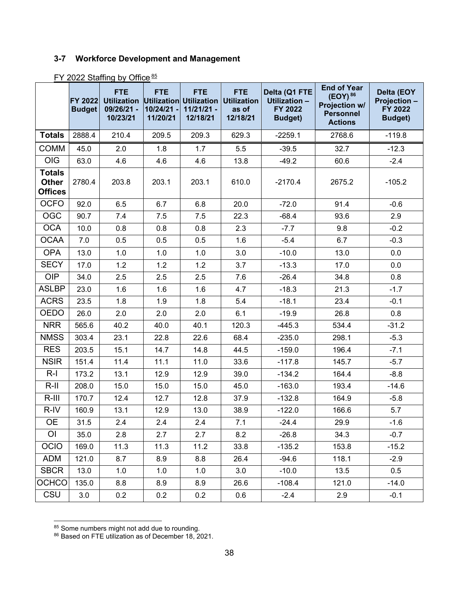# <span id="page-37-0"></span>**3-7 Workforce Development and Management**

|                                                 | <b>FY 2022</b><br><b>Budget</b> | <b>FTE</b><br><b>Utilization</b><br>09/26/21 -<br>10/23/21 | <b>FTE</b><br>Utilization Utilization<br>10/24/21<br>11/20/21 | <b>FTE</b><br>$11/21/21 -$<br>12/18/21 | <b>FTE</b><br><b>Utilization</b><br>as of<br>12/18/21 | Delta (Q1 FTE<br>Utilization -<br>FY 2022<br><b>Budget)</b> | <b>End of Year</b><br>$(EOY)^{86}$<br>Projection w/<br><b>Personnel</b><br><b>Actions</b> | Delta (EOY<br>Projection -<br>FY 2022<br><b>Budget)</b> |
|-------------------------------------------------|---------------------------------|------------------------------------------------------------|---------------------------------------------------------------|----------------------------------------|-------------------------------------------------------|-------------------------------------------------------------|-------------------------------------------------------------------------------------------|---------------------------------------------------------|
| <b>Totals</b>                                   | 2888.4                          | 210.4                                                      | 209.5                                                         | 209.3                                  | 629.3                                                 | $-2259.1$                                                   | 2768.6                                                                                    | $-119.8$                                                |
| <b>COMM</b>                                     | 45.0                            | 2.0                                                        | 1.8                                                           | 1.7                                    | 5.5                                                   | $-39.5$                                                     | 32.7                                                                                      | $-12.3$                                                 |
| <b>OIG</b>                                      | 63.0                            | 4.6                                                        | 4.6                                                           | 4.6                                    | 13.8                                                  | $-49.2$                                                     | 60.6                                                                                      | $-2.4$                                                  |
| <b>Totals</b><br><b>Other</b><br><b>Offices</b> | 2780.4                          | 203.8                                                      | 203.1                                                         | 203.1                                  | 610.0                                                 | $-2170.4$                                                   | 2675.2                                                                                    | $-105.2$                                                |
| <b>OCFO</b>                                     | 92.0                            | 6.5                                                        | 6.7                                                           | 6.8                                    | 20.0                                                  | $-72.0$                                                     | 91.4                                                                                      | $-0.6$                                                  |
| <b>OGC</b>                                      | 90.7                            | 7.4                                                        | 7.5                                                           | 7.5                                    | 22.3                                                  | $-68.4$                                                     | 93.6                                                                                      | 2.9                                                     |
| <b>OCA</b>                                      | 10.0                            | 0.8                                                        | 0.8                                                           | 0.8                                    | 2.3                                                   | $-7.7$                                                      | 9.8                                                                                       | $-0.2$                                                  |
| <b>OCAA</b>                                     | 7.0                             | 0.5                                                        | 0.5                                                           | 0.5                                    | 1.6                                                   | $-5.4$                                                      | 6.7                                                                                       | $-0.3$                                                  |
| <b>OPA</b>                                      | 13.0                            | 1.0                                                        | 1.0                                                           | 1.0                                    | 3.0                                                   | $-10.0$                                                     | 13.0                                                                                      | 0.0                                                     |
| <b>SECY</b>                                     | 17.0                            | 1.2                                                        | 1.2                                                           | 1.2                                    | 3.7                                                   | $-13.3$                                                     | 17.0                                                                                      | 0.0                                                     |
| <b>OIP</b>                                      | 34.0                            | 2.5                                                        | 2.5                                                           | 2.5                                    | 7.6                                                   | $-26.4$                                                     | 34.8                                                                                      | 0.8                                                     |
| <b>ASLBP</b>                                    | 23.0                            | 1.6                                                        | 1.6                                                           | 1.6                                    | 4.7                                                   | $-18.3$                                                     | 21.3                                                                                      | $-1.7$                                                  |
| <b>ACRS</b>                                     | 23.5                            | 1.8                                                        | 1.9                                                           | 1.8                                    | 5.4                                                   | $-18.1$                                                     | 23.4                                                                                      | $-0.1$                                                  |
| OEDO                                            | 26.0                            | 2.0                                                        | 2.0                                                           | 2.0                                    | 6.1                                                   | $-19.9$                                                     | 26.8                                                                                      | 0.8                                                     |
| <b>NRR</b>                                      | 565.6                           | 40.2                                                       | 40.0                                                          | 40.1                                   | 120.3                                                 | $-445.3$                                                    | 534.4                                                                                     | $-31.2$                                                 |
| <b>NMSS</b>                                     | 303.4                           | 23.1                                                       | 22.8                                                          | 22.6                                   | 68.4                                                  | $-235.0$                                                    | 298.1                                                                                     | $-5.3$                                                  |
| <b>RES</b>                                      | 203.5                           | 15.1                                                       | 14.7                                                          | 14.8                                   | 44.5                                                  | $-159.0$                                                    | 196.4                                                                                     | $-7.1$                                                  |
| <b>NSIR</b>                                     | 151.4                           | 11.4                                                       | 11.1                                                          | 11.0                                   | 33.6                                                  | $-117.8$                                                    | 145.7                                                                                     | $-5.7$                                                  |
| $R-I$                                           | 173.2                           | 13.1                                                       | 12.9                                                          | 12.9                                   | 39.0                                                  | $-134.2$                                                    | 164.4                                                                                     | $-8.8$                                                  |
| $R$ -II                                         | 208.0                           | 15.0                                                       | 15.0                                                          | 15.0                                   | 45.0                                                  | $-163.0$                                                    | 193.4                                                                                     | $-14.6$                                                 |
| $R-III$                                         | 170.7                           | 12.4                                                       | 12.7                                                          | 12.8                                   | 37.9                                                  | $-132.8$                                                    | 164.9                                                                                     | $-5.8$                                                  |
| R-IV                                            | 160.9                           | 13.1                                                       | 12.9                                                          | 13.0                                   | 38.9                                                  | $-122.0$                                                    | 166.6                                                                                     | 5.7                                                     |
| <b>OE</b>                                       | 31.5                            | 2.4                                                        | 2.4                                                           | 2.4                                    | 7.1                                                   | $-24.4$                                                     | 29.9                                                                                      | $-1.6$                                                  |
| O <sub>l</sub>                                  | 35.0                            | 2.8                                                        | 2.7                                                           | 2.7                                    | 8.2                                                   | $-26.8$                                                     | 34.3                                                                                      | $-0.7$                                                  |
| <b>OCIO</b>                                     | 169.0                           | 11.3                                                       | 11.3                                                          | $11.2$                                 | 33.8                                                  | $-135.2$                                                    | 153.8                                                                                     | $-15.2$                                                 |
| <b>ADM</b>                                      | 121.0                           | 8.7                                                        | 8.9                                                           | 8.8                                    | 26.4                                                  | $-94.6$                                                     | 118.1                                                                                     | $-2.9$                                                  |
| <b>SBCR</b>                                     | 13.0                            | 1.0                                                        | 1.0                                                           | 1.0                                    | 3.0                                                   | $-10.0$                                                     | 13.5                                                                                      | 0.5                                                     |
| <b>OCHCO</b>                                    | 135.0                           | 8.8                                                        | 8.9                                                           | 8.9                                    | 26.6                                                  | $-108.4$                                                    | 121.0                                                                                     | $-14.0$                                                 |
| CSU                                             | 3.0                             | 0.2                                                        | 0.2                                                           | 0.2                                    | $0.6\,$                                               | $-2.4$                                                      | 2.9                                                                                       | $-0.1$                                                  |

<u>FY 2022 Staffing by Office.<sup>85</sup></u>

 $85$  Some numbers might not add due to rounding.

<sup>86</sup> Based on FTE utilization as of December 18, 2021.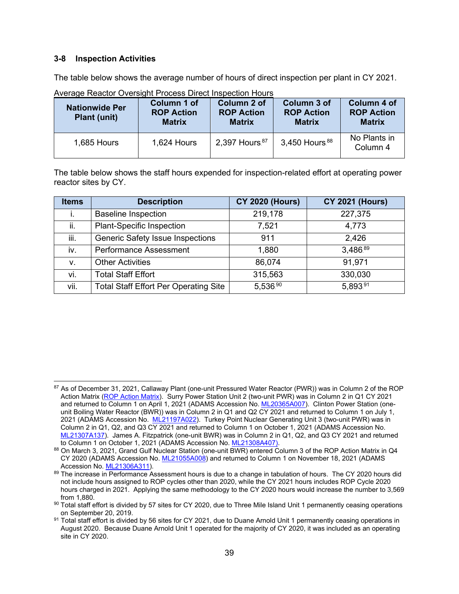### <span id="page-38-0"></span>**3-8 Inspection Activities**

The table below shows the average number of hours of direct inspection per plant in CY 2021.

| <b>Nationwide Per</b><br><b>Plant (unit)</b> | Column 1 of<br><b>ROP Action</b><br><b>Matrix</b> | Column 2 of<br><b>ROP Action</b><br><b>Matrix</b> | Column 3 of<br><b>ROP Action</b><br><b>Matrix</b> | <b>Column 4 of</b><br><b>ROP Action</b><br><b>Matrix</b> |
|----------------------------------------------|---------------------------------------------------|---------------------------------------------------|---------------------------------------------------|----------------------------------------------------------|
| 1,685 Hours                                  | 1,624 Hours                                       | 2,397 Hours. <sup>87</sup>                        | $3,450$ Hours. $88$                               | No Plants in<br>Column 4                                 |

Average Reactor Oversight Process Direct Inspection Hours

The table below shows the staff hours expended for inspection-related effort at operating power reactor sites by CY.

| <b>Items</b> | <b>Description</b>                           | <b>CY 2020 (Hours)</b> | <b>CY 2021 (Hours)</b> |
|--------------|----------------------------------------------|------------------------|------------------------|
| i.           | <b>Baseline Inspection</b>                   | 219,178                | 227,375                |
| ii.          | <b>Plant-Specific Inspection</b>             | 7,521                  | 4,773                  |
| iii.         | Generic Safety Issue Inspections             | 911                    | 2,426                  |
| iv.          | <b>Performance Assessment</b>                | 1,880                  | 3,486.89               |
| v.           | <b>Other Activities</b>                      | 86,074                 | 91,971                 |
| vi.          | <b>Total Staff Effort</b>                    | 315,563                | 330,030                |
| vii.         | <b>Total Staff Effort Per Operating Site</b> | 5,536.90               | 5,893.91               |

<sup>87</sup> As of December 31, 2021, Callaway Plant (one-unit Pressured Water Reactor (PWR)) was in Column 2 of the ROP Action Matrix [\(ROP Action Matrix\)](https://www.nrc.gov/reactors/operating/oversight/actionmatrix-summary.html). Surry Power Station Unit 2 (two-unit PWR) was in Column 2 in Q1 CY 2021 and returned to Column 1 on April 1, 2021 (ADAMS Accession No[. ML20365A007\)](https://adamswebsearch2.nrc.gov/webSearch2/main.jsp?AccessionNumber=ML20365A007). Clinton Power Station (oneunit Boiling Water Reactor (BWR)) was in Column 2 in Q1 and Q2 CY 2021 and returned to Column 1 on July 1, 2021 (ADAMS Accession No. [ML21197A022\)](https://adamswebsearch2.nrc.gov/webSearch2/main.jsp?AccessionNumber=ML21197A022). Turkey Point Nuclear Generating Unit 3 (two-unit PWR) was in Column 2 in Q1, Q2, and Q3 CY 2021 and returned to Column 1 on October 1, 2021 (ADAMS Accession No. [ML21307A137\)](https://adamswebsearch2.nrc.gov/webSearch2/main.jsp?AccessionNumber=ML21307A137). James A. Fitzpatrick (one-unit BWR) was in Column 2 in Q1, Q2, and Q3 CY 2021 and returned to Column 1 on October 1, 2021 (ADAMS Accession No. [ML21308A407\)](https://adamswebsearch2.nrc.gov/webSearch2/main.jsp?AccessionNumber=ML21308A407).

<sup>88</sup> On March 3, 2021, Grand Gulf Nuclear Station (one-unit BWR) entered Column 3 of the ROP Action Matrix in Q4 CY 2020 (ADAMS Accession No. [ML21055A008\)](https://adamswebsearch2.nrc.gov/webSearch2/main.jsp?AccessionNumber=ML21055A008) and returned to Column 1 on November 18, 2021 (ADAMS Accession No. [ML21306A311\)](https://adamswebsearch2.nrc.gov/webSearch2/main.jsp?AccessionNumber=ML21306A311).

<sup>89</sup> The increase in Performance Assessment hours is due to a change in tabulation of hours. The CY 2020 hours did not include hours assigned to ROP cycles other than 2020, while the CY 2021 hours includes ROP Cycle 2020 hours charged in 2021. Applying the same methodology to the CY 2020 hours would increase the number to 3,569 from 1,880.

<sup>90</sup> Total staff effort is divided by 57 sites for CY 2020, due to Three Mile Island Unit 1 permanently ceasing operations on September 20, 2019.

<sup>91</sup> Total staff effort is divided by 56 sites for CY 2021, due to Duane Arnold Unit 1 permanently ceasing operations in August 2020. Because Duane Arnold Unit 1 operated for the majority of CY 2020, it was included as an operating site in CY 2020.